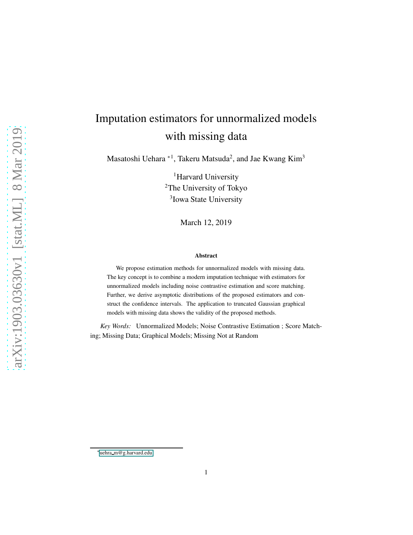# Imputation estimators for unnormalized models with missing data

Masatoshi Uehara <sup>∗1</sup>, Takeru Matsuda<sup>2</sup>, and Jae Kwang Kim<sup>3</sup>

<sup>1</sup>Harvard University <sup>2</sup>The University of Tokyo <sup>3</sup>Iowa State University

March 12, 2019

#### Abstract

We propose estimation methods for unnormalized models with missing data. The key concept is to combine a modern imputation technique with estimators for unnormalized models including noise contrastive estimation and score matching. Further, we derive asymptotic distributions of the proposed estimators and construct the confidence intervals. The application to truncated Gaussian graphical models with missing data shows the validity of the proposed methods.

*Key Words:* Unnormalized Models; Noise Contrastive Estimation ; Score Matching; Missing Data; Graphical Models; Missing Not at Random

<sup>∗</sup>uehra m@g.harvard.edu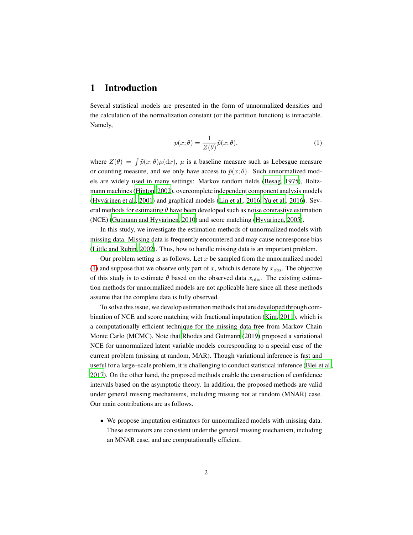# 1 Introduction

Several statistical models are presented in the form of unnormalized densities and the calculation of the normalization constant (or the partition function) is intractable. Namely,

<span id="page-1-0"></span>
$$
p(x; \theta) = \frac{1}{Z(\theta)} \tilde{p}(x; \theta),
$$
\n(1)

where  $Z(\theta) = \int \tilde{p}(x; \theta) \mu(dx)$ ,  $\mu$  is a baseline measure such as Lebesgue measure or counting measure, and we only have access to  $\tilde{p}(x; \theta)$ . Such unnormalized models are widely used in many settings: Markov random fields [\(Besag](#page-20-0), [1975\)](#page-20-0), Boltzmann machines [\(Hinton, 2002\)](#page-20-1), overcomplete independent component analysis models (Hyvärinen et al., [2001\)](#page-20-2) and graphical models [\(Lin et al.](#page-21-0), [2016;](#page-21-0) [Yu et al.](#page-23-0), [2016\)](#page-23-0). Several methods for estimating  $\theta$  have been developed such as noise contrastive estimation (NCE) (Gutmann and Hyvärinen, 2010) and score matching (Hyvärinen, 2005).

In this study, we investigate the estimation methods of unnormalized models with missing data. Missing data is frequently encountered and may cause nonresponse bias [\(Little and Rubin, 2002\)](#page-21-1). Thus, how to handle missing data is an important problem.

Our problem setting is as follows. Let  $x$  be sampled from the unnormalized model [\(1\)](#page-1-0) and suppose that we observe only part of x, which is denote by  $x_{\text{obs}}$ . The objective of this study is to estimate  $\theta$  based on the observed data  $x_{\text{obs}}$ . The existing estimation methods for unnormalized models are not applicable here since all these methods assume that the complete data is fully observed.

To solve this issue, we develop estimation methods that are developed through combination of NCE and score matching with fractional imputation [\(Kim, 2011\)](#page-21-2), which is a computationally efficient technique for the missing data free from Markov Chain Monte Carlo (MCMC). Note that [Rhodes and Gutmann](#page-22-0) [\(2019\)](#page-22-0) proposed a variational NCE for unnormalized latent variable models corresponding to a special case of the current problem (missing at random, MAR). Though variational inference is fast and useful for a large–scale problem, it is challenging to conduct statistical inference [\(Blei et al.,](#page-20-5) [2017\)](#page-20-5). On the other hand, the proposed methods enable the construction of confidence intervals based on the asymptotic theory. In addition, the proposed methods are valid under general missing mechanisms, including missing not at random (MNAR) case. Our main contributions are as follows.

• We propose imputation estimators for unnormalized models with missing data. These estimators are consistent under the general missing mechanism, including an MNAR case, and are computationally efficient.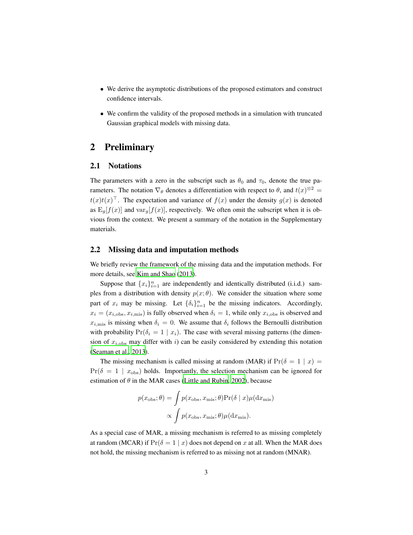- We derive the asymptotic distributions of the proposed estimators and construct confidence intervals.
- We confirm the validity of the proposed methods in a simulation with truncated Gaussian graphical models with missing data.

# 2 Preliminary

#### 2.1 Notations

The parameters with a zero in the subscript such as  $\theta_0$  and  $\tau_0$ , denote the true parameters. The notation  $\nabla_{\theta}$  denotes a differentiation with respect to  $\theta$ , and  $t(x)^{\otimes 2} =$  $t(x)t(x)^\top$ . The expectation and variance of  $f(x)$  under the density  $g(x)$  is denoted as  $E_g[f(x)]$  and  $var_g[f(x)]$ , respectively. We often omit the subscript when it is obvious from the context. We present a summary of the notation in the Supplementary materials.

#### 2.2 Missing data and imputation methods

We briefly review the framework of the missing data and the imputation methods. For more details, see [Kim and Shao](#page-21-3) [\(2013\)](#page-21-3).

Suppose that  $\{x_i\}_{i=1}^n$  are independently and identically distributed (i.i.d.) samples from a distribution with density  $p(x; \theta)$ . We consider the situation where some part of  $x_i$  may be missing. Let  $\{\delta_i\}_{i=1}^n$  be the missing indicators. Accordingly,  $x_i = (x_{i,obs}, x_{i,mis})$  is fully observed when  $\delta_i = 1$ , while only  $x_{i,obs}$  is observed and  $x_{i,\text{mis}}$  is missing when  $\delta_i = 0$ . We assume that  $\delta_i$  follows the Bernoulli distribution with probability  $Pr(\delta_i = 1 | x_i)$ . The case with several missing patterns (the dimension of  $x_{i,obs}$  may differ with i) can be easily considered by extending this notation [\(Seaman et al., 2013\)](#page-22-1).

The missing mechanism is called missing at random (MAR) if  $Pr(\delta = 1 | x)$  $Pr(\delta = 1 \mid x_{obs})$  holds. Importantly, the selection mechanism can be ignored for estimation of  $\theta$  in the MAR cases [\(Little and Rubin](#page-21-1), [2002](#page-21-1)), because

$$
p(x_{\text{obs}}; \theta) = \int p(x_{\text{obs}}, x_{\text{mis}}; \theta) \Pr(\delta | x) \mu(dx_{\text{mis}})
$$

$$
\propto \int p(x_{\text{obs}}, x_{\text{mis}}; \theta) \mu(dx_{\text{mis}}).
$$

As a special case of MAR, a missing mechanism is referred to as missing completely at random (MCAR) if  $Pr(\delta = 1 | x)$  does not depend on x at all. When the MAR does not hold, the missing mechanism is referred to as missing not at random (MNAR).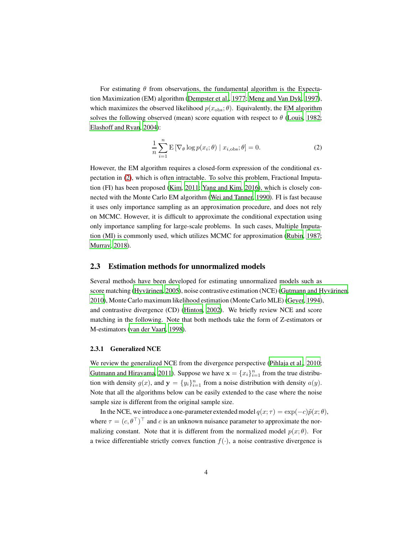For estimating  $\theta$  from observations, the fundamental algorithm is the Expectation Maximization (EM) algorithm [\(Dempster et al.](#page-20-6), [1977;](#page-20-6) [Meng and Van Dyk, 1997\)](#page-21-4), which maximizes the observed likelihood  $p(x_{obs}; \theta)$ . Equivalently, the EM algorithm solves the following observed (mean) score equation with respect to  $\theta$  [\(Louis](#page-21-5), [1982;](#page-21-5) [Elashoff and Ryan, 2004\)](#page-20-7):

<span id="page-3-0"></span>
$$
\frac{1}{n}\sum_{i=1}^{n} \mathbf{E}\left[\nabla_{\theta}\log p(x_i;\theta) \mid x_{i,\text{obs}};\theta\right] = 0. \tag{2}
$$

However, the EM algorithm requires a closed-form expression of the conditional expectation in [\(2\)](#page-3-0), which is often intractable. To solve this problem, Fractional Imputation (FI) has been proposed [\(Kim, 2011;](#page-21-2) [Yang and Kim, 2016](#page-23-1)), which is closely connected with the Monte Carlo EM algorithm [\(Wei and Tanner, 1990\)](#page-23-2). FI is fast because it uses only importance sampling as an approximation procedure, and does not rely on MCMC. However, it is difficult to approximate the conditional expectation using only importance sampling for large-scale problems. In such cases, Multiple Imputation (MI) is commonly used, which utilizes MCMC for approximation [\(Rubin, 1987;](#page-22-2) [Murray, 2018\)](#page-21-6).

#### 2.3 Estimation methods for unnormalized models

Several methods have been developed for estimating unnormalized models such as score matching (Hyvärinen, [2005\)](#page-20-4), noise contrastive estimation (NCE) (Gutmann and Hyvärinen, [2010\)](#page-20-3), Monte Carlo maximum likelihood estimation (Monte Carlo MLE) [\(Geyer, 1994\)](#page-20-8), and contrastive divergence (CD) [\(Hinton, 2002\)](#page-20-1). We briefly review NCE and score matching in the following. Note that both methods take the form of Z-estimators or M-estimators [\(van der Vaart, 1998\)](#page-23-3).

#### 2.3.1 Generalized NCE

We review the generalized NCE from the divergence perspective [\(Pihlaja et al., 2010;](#page-22-3) [Gutmann and Hirayama, 2011\)](#page-20-9). Suppose we have  $\mathbf{x} = \{x_i\}_{i=1}^n$  from the true distribution with density  $g(x)$ , and  $y = \{y_i\}_{i=1}^n$  from a noise distribution with density  $a(y)$ . Note that all the algorithms below can be easily extended to the case where the noise sample size is different from the original sample size.

In the NCE, we introduce a one-parameter extended model  $q(x; \tau) = \exp(-c)\tilde{p}(x; \theta)$ , where  $\tau = (c, \theta^{\top})^{\top}$  and c is an unknown nuisance parameter to approximate the normalizing constant. Note that it is different from the normalized model  $p(x; \theta)$ . For a twice differentiable strictly convex function  $f(\cdot)$ , a noise contrastive divergence is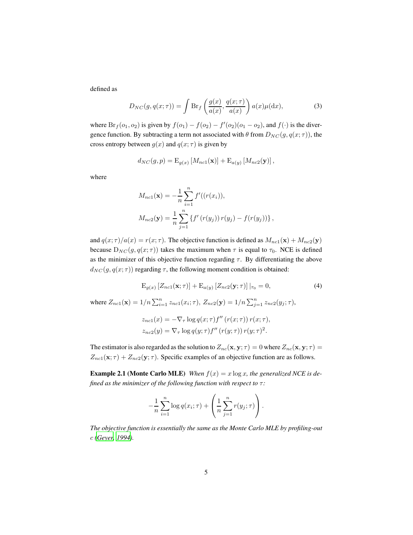defined as

$$
D_{NC}(g, q(x; \tau)) = \int \mathrm{Br}_f\left(\frac{g(x)}{a(x)}, \frac{q(x; \tau)}{a(x)}\right) a(x) \mu(\mathrm{d}x),\tag{3}
$$

where  $Br_f(o_1, o_2)$  is given by  $f(o_1) - f(o_2) - f'(o_2)(o_1 - o_2)$ , and  $f(\cdot)$  is the divergence function. By subtracting a term not associated with  $\theta$  from  $D_{NC}(g, q(x; \tau))$ , the cross entropy between  $g(x)$  and  $q(x; \tau)$  is given by

$$
d_{NC}(g,p) = \mathrm{E}_{g(x)}\left[M_{nc1}(\mathbf{x})\right] + \mathrm{E}_{a(y)}\left[M_{nc2}(\mathbf{y})\right],
$$

where

$$
M_{nc1}(\mathbf{x}) = -\frac{1}{n} \sum_{i=1}^{n} f'((r(x_i)),
$$
  

$$
M_{nc2}(\mathbf{y}) = \frac{1}{n} \sum_{j=1}^{n} \{f'(r(y_j)) r(y_j) - f(r(y_j))\},
$$

and  $q(x; \tau)/a(x) = r(x; \tau)$ . The objective function is defined as  $M_{nc1}(\mathbf{x}) + M_{nc2}(\mathbf{y})$ because  $D_{NC}(g, q(x; \tau))$  takes the maximum when  $\tau$  is equal to  $\tau_0$ . NCE is defined as the minimizer of this objective function regarding  $\tau$ . By differentiating the above  $d_{NC}(g, q(x; \tau))$  regarding  $\tau$ , the following moment condition is obtained:

<span id="page-4-0"></span>
$$
\mathcal{E}_{g(x)}\left[Z_{nc1}(\mathbf{x};\tau)\right] + \mathcal{E}_{a(y)}\left[Z_{nc2}(\mathbf{y};\tau)\right]|_{\tau_0} = 0,\tag{4}
$$

where  $Z_{nc1}(\mathbf{x}) = 1/n \sum_{i=1}^{n} z_{nc1}(x_i; \tau), Z_{nc2}(\mathbf{y}) = 1/n \sum_{j=1}^{n} z_{nc2}(y_j; \tau),$ 

$$
z_{nc1}(x) = -\nabla_{\tau} \log q(x;\tau) f''\left(r(x;\tau)\right) r(x;\tau),
$$
  

$$
z_{nc2}(y) = \nabla_{\tau} \log q(y;\tau) f''\left(r(y;\tau)\right) r(y;\tau)^2.
$$

The estimator is also regarded as the solution to  $Z_{nc}(x, y; \tau) = 0$  where  $Z_{nc}(x, y; \tau) = 0$  $Z_{nc1}(\mathbf{x}; \tau) + Z_{nc2}(\mathbf{y}; \tau)$ . Specific examples of an objective function are as follows.

**Example 2.1 (Monte Carlo MLE)** *When*  $f(x) = x \log x$ *, the generalized NCE is defined as the minimizer of the following function with respect to* τ*:*

$$
-\frac{1}{n}\sum_{i=1}^n\log q(x_i;\tau)+\left(\frac{1}{n}\sum_{j=1}^nr(y_j;\tau)\right).
$$

*The objective function is essentially the same as the Monte Carlo MLE by profiling-out* c *[\(Geyer, 1994\)](#page-20-8).*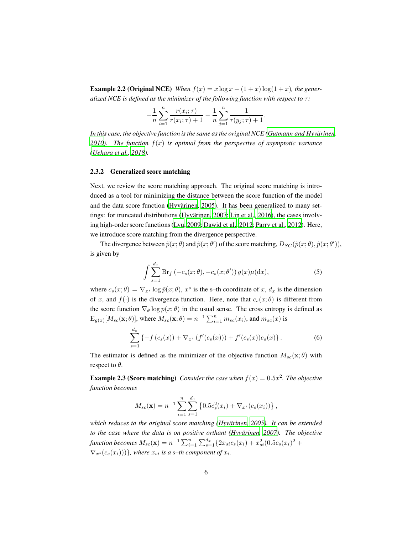**Example 2.2 (Original NCE)** *When*  $f(x) = x \log x - (1 + x) \log(1 + x)$ *, the generalized NCE is defined as the minimizer of the following function with respect to* τ*:*

$$
-\frac{1}{n}\sum_{i=1}^{n}\frac{r(x_i;\tau)}{r(x_i;\tau)+1} - \frac{1}{n}\sum_{j=1}^{n}\frac{1}{r(y_j;\tau)+1}.
$$

*In this case, the objective function is the same as the original NCE [\(Gutmann and Hyvarinen](#page-20-3), ¨ 2010.* The function  $f(x)$  *is optimal from the perspective of asymptotic variance [\(Uehara et al., 2018\)](#page-23-4).*

#### 2.3.2 Generalized score matching

Next, we review the score matching approach. The original score matching is introduced as a tool for minimizing the distance between the score function of the model and the data score function (Hyvärinen, 2005). It has been generalized to many set-tings: for truncated distributions (Hyvärinen, [2007](#page-20-10); Lin [et al.](#page-21-0), [2016](#page-21-0)), the cases involving high-order score functions [\(Lyu](#page-21-7), [2009;](#page-21-7) [Dawid et al.](#page-20-11), [2012;](#page-20-11) [Parry et al., 2012\)](#page-22-4). Here, we introduce score matching from the divergence perspective.

The divergence between  $\tilde{p}(x;\theta)$  and  $\tilde{p}(x;\theta')$  of the score matching,  $D_{SC}(\tilde{p}(x;\theta),\tilde{p}(x;\theta'))$ , is given by

$$
\int \sum_{s=1}^{d_x} \mathrm{Br}_f\left(-c_s(x;\theta), -c_s(x;\theta')\right) g(x) \mu(\mathrm{d}x),\tag{5}
$$

where  $c_s(x; \theta) = \nabla_{x^s} \log \tilde{p}(x; \theta), x^s$  is the s-th coordinate of x,  $d_x$  is the dimension of x, and  $f(\cdot)$  is the divergence function. Here, note that  $c_s(x; \theta)$  is different from the score function  $\nabla_{\theta} \log p(x; \theta)$  in the usual sense. The cross entropy is defined as  $E_{g(x)}[M_{sc}(\mathbf{x};\theta)]$ , where  $M_{sc}(\mathbf{x};\theta) = n^{-1} \sum_{i=1}^{n} m_{sc}(x_i)$ , and  $m_{sc}(x)$  is

$$
\sum_{s=1}^{d_x} \left\{ -f(c_s(x)) + \nabla_{x^s} \left( f'(c_s(x)) \right) + f'(c_s(x)) c_s(x) \right\}.
$$
 (6)

The estimator is defined as the minimizer of the objective function  $M_{sc}(x;\theta)$  with respect to  $\theta$ .

**Example 2.3 (Score matching)** *Consider the case when*  $f(x) = 0.5x^2$ *. The objective function becomes*

$$
M_{sc}(\mathbf{x}) = n^{-1} \sum_{i=1}^{n} \sum_{s=1}^{d_x} \left\{ 0.5 c_s^2(x_i) + \nabla_{x^s}(c_s(x_i)) \right\},\,
$$

*which reduces to the original score matching [\(Hyvarinen](#page-20-4), [2005\)](#page-20-4). It can be extended ¨ to the case where the data is on positive orthant (Hyvärinen, 2007). The objective function becomes*  $M_{sc}(\mathbf{x}) = n^{-1} \sum_{i=1}^{n} \sum_{s=1}^{d_x} \{2x_{si}c_s(x_i) + x_{si}^2(0.5c_s(x_i)^2 +$  $\nabla_{x^s}(c_s(x_i)))\},$  where  $x_{si}$  *is a s–th component of*  $x_i$ *.*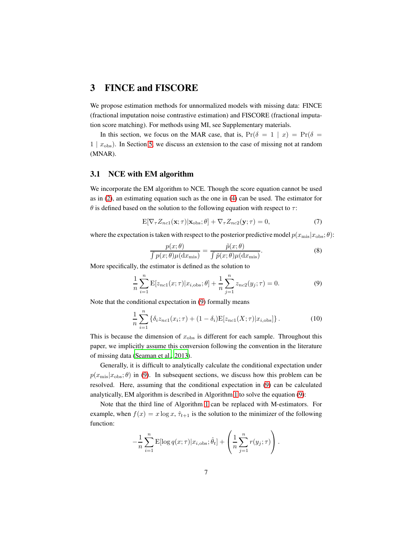### 3 FINCE and FISCORE

We propose estimation methods for unnormalized models with missing data: FINCE (fractional imputation noise contrastive estimation) and FISCORE (fractional imputation score matching). For methods using MI, see Supplementary materials.

In this section, we focus on the MAR case, that is,  $Pr(\delta = 1 | x) = Pr(\delta = 1)$  $1 | x<sub>obs</sub>$ ). In Section [5,](#page-13-0) we discuss an extension to the case of missing not at random (MNAR).

#### 3.1 NCE with EM algorithm

We incorporate the EM algorithm to NCE. Though the score equation cannot be used as in [\(2\)](#page-3-0), an estimating equation such as the one in [\(4\)](#page-4-0) can be used. The estimator for  $\theta$  is defined based on the solution to the following equation with respect to  $\tau$ :

$$
E[\nabla_{\tau} Z_{nc1}(\mathbf{x}; \tau) | \mathbf{x}_{obs}; \theta] + \nabla_{\tau} Z_{nc2}(\mathbf{y}; \tau) = 0,
$$
\n(7)

where the expectation is taken with respect to the posterior predictive model  $p(x_{\text{mis}}|x_{\text{obs}};\theta)$ :

<span id="page-6-2"></span><span id="page-6-0"></span>
$$
\frac{p(x;\theta)}{\int p(x;\theta)\mu(\mathrm{d}x_{\mathrm{mis}})} = \frac{\tilde{p}(x;\theta)}{\int \tilde{p}(x;\theta)\mu(\mathrm{d}x_{\mathrm{mis}})}.\tag{8}
$$

More specifically, the estimator is defined as the solution to

$$
\frac{1}{n}\sum_{i=1}^{n} \mathbf{E}[z_{nc1}(x;\tau)|x_{i,\text{obs}};\theta] + \frac{1}{n}\sum_{j=1}^{n} z_{nc2}(y_j;\tau) = 0.
$$
 (9)

Note that the conditional expectation in [\(9\)](#page-6-0) formally means

$$
\frac{1}{n}\sum_{i=1}^{n} \left\{ \delta_i z_{nc1}(x_i; \tau) + (1 - \delta_i) \mathbb{E}[z_{nc1}(X; \tau) | x_{i, \text{obs}}] \right\}.
$$
 (10)

This is because the dimension of  $x_{\text{obs}}$  is different for each sample. Throughout this paper, we implicitly assume this conversion following the convention in the literature of missing data [\(Seaman et al., 2013\)](#page-22-1).

Generally, it is difficult to analytically calculate the conditional expectation under  $p(x_{\text{mis}}|x_{\text{obs}}; \theta)$  in [\(9\)](#page-6-0). In subsequent sections, we discuss how this problem can be resolved. Here, assuming that the conditional expectation in [\(9\)](#page-6-0) can be calculated analytically, EM algorithm is described in Algorithm [1](#page-6-1) to solve the equation [\(9\)](#page-6-0):

Note that the third line of Algorithm [1](#page-6-1) can be replaced with M-estimators. For example, when  $f(x) = x \log x$ ,  $\hat{\tau}_{t+1}$  is the solution to the minimizer of the following function:

<span id="page-6-1"></span>
$$
-\frac{1}{n}\sum_{i=1}^n \mathrm{E}[\log q(x;\tau)|x_{i,\text{obs}};\hat{\theta}_t] + \left(\frac{1}{n}\sum_{j=1}^n r(y_j;\tau)\right).
$$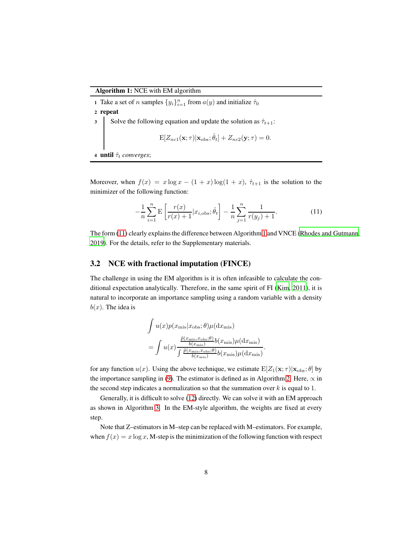1 Take a set of *n* samples  $\{y_i\}_{i=1}^n$  from  $a(y)$  and initialize  $\hat{\tau}_0$ 

2 repeat

3 Solve the following equation and update the solution as  $\hat{\tau}_{t+1}$ :

$$
\mathbf{E}[Z_{nc1}(\mathbf{x};\tau)|\mathbf{x}_{\text{obs}};\hat{\theta}_t] + Z_{nc2}(\mathbf{y};\tau) = 0.
$$

<sup>4</sup> until τˆ<sup>t</sup> *converges*;

Moreover, when  $f(x) = x \log x - (1 + x) \log(1 + x)$ ,  $\hat{\tau}_{t+1}$  is the solution to the minimizer of the following function:

$$
-\frac{1}{n}\sum_{i=1}^{n} \mathbf{E}\left[\frac{r(x)}{r(x)+1}|x_{i,\text{obs}};\hat{\theta}_t\right] - \frac{1}{n}\sum_{j=1}^{n} \frac{1}{r(y_j)+1}.\tag{11}
$$

The form [\(11\)](#page-7-0) clearly explains the difference between Algorithm [1](#page-6-1) and VNCE [\(Rhodes and Gutmann](#page-22-0), [2019\)](#page-22-0). For the details, refer to the Supplementary materials.

<span id="page-7-0"></span>.

#### <span id="page-7-3"></span>3.2 NCE with fractional imputation (FINCE)

The challenge in using the EM algorithm is it is often infeasible to calculate the conditional expectation analytically. Therefore, in the same spirit of FI [\(Kim, 2011\)](#page-21-2), it is natural to incorporate an importance sampling using a random variable with a density  $b(x)$ . The idea is

$$
\int u(x)p(x_{\text{mis}}|x_{\text{obs}};\theta)\mu(\mathrm{d}x_{\text{mis}})
$$
\n
$$
= \int u(x)\frac{\frac{\tilde{p}(x_{\text{mis}},x_{\text{obs}};\theta)}{b(x_{\text{mis}})}b(x_{\text{mis}})\mu(\mathrm{d}x_{\text{mis}})}{\int \frac{\tilde{p}(x_{\text{mis}},x_{\text{obs}};\theta)}{b(x_{\text{mis}})}b(x_{\text{mis}})\mu(\mathrm{d}x_{\text{mis}})}
$$

for any function  $u(x)$ . Using the above technique, we estimate  $E[Z_1(\mathbf{x}; \tau)|\mathbf{x}_{obs}; \theta]$  by the importance sampling in [\(9\)](#page-6-0). The estimator is defined as in Algorithm [2.](#page-7-1) Here,  $\propto$  in the second step indicates a normalization so that the summation over  $k$  is equal to 1.

<span id="page-7-1"></span>Generally, it is difficult to solve [\(12\)](#page-8-0) directly. We can solve it with an EM approach as shown in Algorithm [3.](#page-7-2) In the EM-style algorithm, the weights are fixed at every step.

<span id="page-7-2"></span>Note that Z–estimators in M–step can be replaced with M–estimators. For example, when  $f(x) = x \log x$ , M-step is the minimization of the following function with respect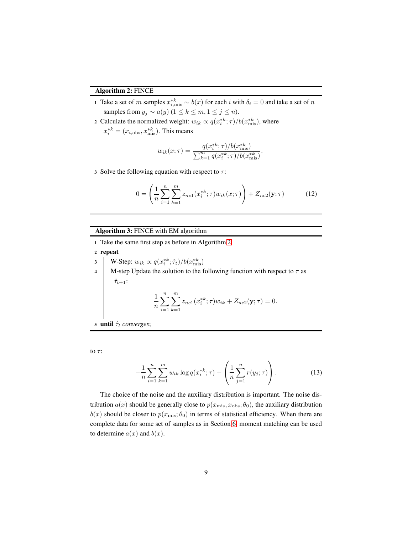#### Algorithm 2: FINCE

- 1 Take a set of m samples  $x_{i,\text{mis}}^{*k} \sim b(x)$  for each i with  $\delta_i = 0$  and take a set of n samples from  $y_j \sim a(y)$  (1 ≤  $k \le m, 1 \le j \le n$ ).
- 2 Calculate the normalized weight:  $w_{ik} \propto q(x_i^{*k}; \tau) / b(x_{\text{mis}}^{*k})$ , where
	- $x_i^{*k} = (x_{i,obs}, x_{\text{mis}}^{*k})$ . This means

$$
w_{ik}(x; \tau) = \frac{q(x_i^{*k}; \tau)/b(x_{\text{mis}}^{*k})}{\sum_{k=1}^m q(x_i^{*k}; \tau)/b(x_{\text{mis}}^{*k})}
$$

3 Solve the following equation with respect to  $\tau$ :

$$
0 = \left(\frac{1}{n}\sum_{i=1}^{n}\sum_{k=1}^{m} z_{nc1}(x_i^{*k}; \tau)w_{ik}(x; \tau)\right) + Z_{nc2}(\mathbf{y}; \tau)
$$
(12)

<span id="page-8-0"></span>.

#### Algorithm 3: FINCE with EM algorithm

- <sup>1</sup> Take the same first step as before in Algorithm [2](#page-7-1)
- <sup>2</sup> repeat
- 3 W-Step:  $w_{ik} \propto q(x_i^{*k}; \hat{\tau}_t)/b(x_{\text{mis}}^{*k})$
- 4 M-step Update the solution to the following function with respect to  $\tau$  as  $\hat{\tau}_{t+1}$ :

$$
\frac{1}{n}\sum_{i=1}^{n}\sum_{k=1}^{m} z_{nc1}(x_i^{*k}; \tau) w_{ik} + Z_{nc2}(\mathbf{y}; \tau) = 0.
$$

<sup>5</sup> until τˆ<sup>t</sup> *converges*;

to  $\tau$ :

$$
-\frac{1}{n}\sum_{i=1}^{n}\sum_{k=1}^{m}w_{ik}\log q(x_i^{*k};\tau) + \left(\frac{1}{n}\sum_{j=1}^{n}r(y_j;\tau)\right).
$$
 (13)

The choice of the noise and the auxiliary distribution is important. The noise distribution  $a(x)$  should be generally close to  $p(x_{\text{mis}}, x_{\text{obs}}; \theta_0)$ , the auxiliary distribution  $b(x)$  should be closer to  $p(x_{\text{mis}}; \theta_0)$  in terms of statistical efficiency. When there are complete data for some set of samples as in Section [6,](#page-15-0) moment matching can be used to determine  $a(x)$  and  $b(x)$ .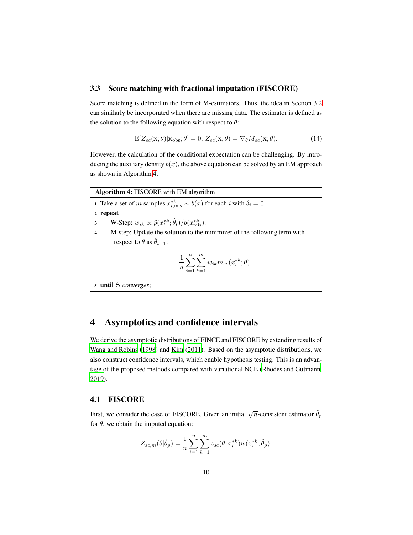#### 3.3 Score matching with fractional imputation (FISCORE)

Score matching is defined in the form of M-estimators. Thus, the idea in Section [3.2](#page-7-3) can similarly be incorporated when there are missing data. The estimator is defined as the solution to the following equation with respect to  $\theta$ :

<span id="page-9-1"></span>
$$
E[Z_{sc}(\mathbf{x};\theta)|\mathbf{x}_{obs};\theta] = 0, Z_{sc}(\mathbf{x};\theta) = \nabla_{\theta}M_{sc}(\mathbf{x};\theta).
$$
 (14)

However, the calculation of the conditional expectation can be challenging. By introducing the auxiliary density  $b(x)$ , the above equation can be solved by an EM approach as shown in Algorithm [4.](#page-9-0)

<span id="page-9-0"></span>

| <b>Algorithm 4: FISCORE</b> with EM algorithm |                                                                                                                                                                      |  |  |
|-----------------------------------------------|----------------------------------------------------------------------------------------------------------------------------------------------------------------------|--|--|
|                                               | 1 Take a set of m samples $x_{i,\text{mis}}^{*k} \sim b(x)$ for each i with $\delta_i = 0$                                                                           |  |  |
| 2 repeat                                      |                                                                                                                                                                      |  |  |
|                                               | 3 W-Step: $w_{ik} \propto \tilde{p}(x_i^{*k}; \hat{\theta}_t)/b(x_{\text{mis}}^{*k})$ .<br>4 M-step: Update the solution to the minimizer of the following term with |  |  |
|                                               |                                                                                                                                                                      |  |  |
|                                               | respect to $\theta$ as $\hat{\theta}_{t+1}$ :                                                                                                                        |  |  |
|                                               | $\frac{1}{n} \sum_{i=1}^{n} \sum_{k=1}^{m} w_{ik} m_{sc}(x_i^{*k}; \theta).$                                                                                         |  |  |
| 5 <b>until</b> $\hat{\tau}_t$ converges;      |                                                                                                                                                                      |  |  |

# 4 Asymptotics and confidence intervals

We derive the asymptotic distributions of FINCE and FISCORE by extending results of [Wang and Robins](#page-23-5) [\(1998\)](#page-23-5) and [Kim \(2011](#page-21-2)). Based on the asymptotic distributions, we also construct confidence intervals, which enable hypothesis testing. This is an advantage of the proposed methods compared with variational NCE [\(Rhodes and Gutmann,](#page-22-0) [2019\)](#page-22-0).

#### 4.1 FISCORE

First, we consider the case of FISCORE. Given an initial  $\sqrt{n}$ -consistent estimator  $\hat{\theta}_p$ for  $\theta$ , we obtain the imputed equation:

$$
Z_{sc,m}(\theta|\hat{\theta}_p) = \frac{1}{n} \sum_{i=1}^{n} \sum_{k=1}^{m} z_{sc}(\theta; x_i^{*k}) w(x_i^{*k}; \hat{\theta}_p),
$$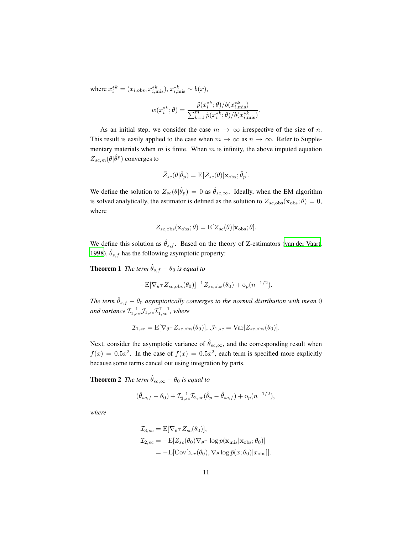where  $x_i^{*k} = (x_{i,obs}, x_{i,mis}^{*k}), x_{i,mis}^{*k} \sim b(x),$ 

$$
w(x_i^{*k};\theta) = \frac{\tilde{p}(x_i^{*k};\theta)/b(x_{i,\text{mis}}^{*k})}{\sum_{k=1}^m \tilde{p}(x_i^{*k};\theta)/b(x_{i,\text{mis}}^{*k})}
$$

.

As an initial step, we consider the case  $m \to \infty$  irrespective of the size of n. This result is easily applied to the case when  $m \to \infty$  as  $n \to \infty$ . Refer to Supplementary materials when  $m$  is finite. When  $m$  is infinity, the above imputed equation  $Z_{sc,m}(\theta|\hat{\theta}^p)$  converges to

$$
\bar{Z}_{sc}(\theta|\hat{\theta}_p) = \mathbb{E}[Z_{sc}(\theta)|\mathbf{x}_{obs};\hat{\theta}_p].
$$

We define the solution to  $\bar{Z}_{sc}(\theta|\hat{\theta}_p) = 0$  as  $\hat{\theta}_{sc,\infty}$ . Ideally, when the EM algorithm is solved analytically, the estimator is defined as the solution to  $Z_{sc,obs}(\mathbf{x}_{obs}; \theta) = 0$ , where

<span id="page-10-1"></span>
$$
Z_{sc,obs}(\mathbf{x}_{obs};\theta) = \mathbb{E}[Z_{sc}(\theta)|\mathbf{x}_{obs};\theta].
$$

We define this solution as  $\hat{\theta}_{s,f}$ . Based on the theory of Z-estimators [\(van der Vaart,](#page-23-3) [1998\)](#page-23-3),  $\hat{\theta}_{s,f}$  has the following asymptotic property:

**Theorem 1** *The term*  $\hat{\theta}_{s,f} - \theta_0$  *is equal to* 

$$
-\mathbf{E}[\nabla_{\theta} \tau Z_{sc, \text{obs}}(\theta_0)]^{-1} Z_{sc, \text{obs}}(\theta_0) + o_p(n^{-1/2}).
$$

*The term*  $\hat{\theta}_{s,f} - \theta_0$  *asymptotically converges to the normal distribution with mean* 0 and variance  $\mathcal{I}_{1,sc}^{-1}\mathcal{J}_{1,sc}\mathcal{I}_{1,sc}^{\top-1}$ , where

$$
\mathcal{I}_{1,sc} = \mathbf{E}[\nabla_{\theta} \tau Z_{sc,obs}(\theta_0)], \mathcal{J}_{1,sc} = \text{Var}[Z_{sc,obs}(\theta_0)].
$$

Next, consider the asymptotic variance of  $\hat{\theta}_{sc,\infty}$ , and the corresponding result when  $f(x) = 0.5x^2$ . In the case of  $f(x) = 0.5x^2$ , each term is specified more explicitly because some terms cancel out using integration by parts.

<span id="page-10-0"></span>**Theorem 2** *The term*  $\hat{\theta}_{sc,\infty} - \theta_0$  *is equal to* 

$$
(\hat{\theta}_{sc,f} - \theta_0) + \mathcal{I}_{3,sc}^{-1} \mathcal{I}_{2,sc}(\hat{\theta}_p - \hat{\theta}_{sc,f}) + o_p(n^{-1/2}),
$$

<span id="page-10-2"></span>*where*

$$
\mathcal{I}_{3,sc} = \mathbb{E}[\nabla_{\theta} \tau Z_{sc}(\theta_0)],
$$
  
\n
$$
\mathcal{I}_{2,sc} = -\mathbb{E}[Z_{sc}(\theta_0)\nabla_{\theta} \tau \log p(\mathbf{x}_{mis}|\mathbf{x}_{obs}; \theta_0)]
$$
  
\n
$$
= -\mathbb{E}[\text{Cov}[z_{sc}(\theta_0), \nabla_{\theta} \log \tilde{p}(x; \theta_0)|x_{obs}]].
$$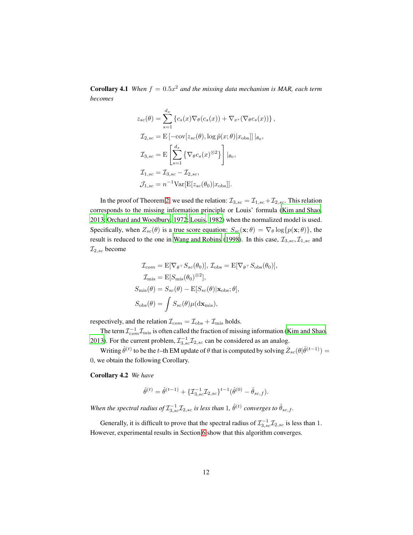**Corollary 4.1** When  $f = 0.5x^2$  and the missing data mechanism is MAR, each term *becomes*

$$
z_{sc}(\theta) = \sum_{s=1}^{d_x} \left\{ c_s(x) \nabla_{\theta}(c_s(x)) + \nabla_{x^s}(\nabla_{\theta}c_s(x)) \right\},
$$
  
\n
$$
\mathcal{I}_{2,sc} = \mathbf{E} \left[ -\text{cov}[z_{sc}(\theta), \log \tilde{p}(x; \theta) | x_{\text{obs}}] \right] | \theta_0,
$$
  
\n
$$
\mathcal{I}_{3,sc} = \mathbf{E} \left[ \sum_{s=1}^{d_x} \left\{ \nabla_{\theta}c_s(x)^{\otimes 2} \right\} \right] | \theta_0,
$$
  
\n
$$
\mathcal{I}_{1,sc} = \mathcal{I}_{3,sc} - \mathcal{I}_{2,sc},
$$
  
\n
$$
\mathcal{I}_{1,sc} = n^{-1} \text{Var}[\mathbf{E}[z_{sc}(\theta_0) | x_{\text{obs}}]].
$$

In the proof of Theorem [2,](#page-10-0) we used the relation:  $\mathcal{I}_{3,sc} = \mathcal{I}_{1,sc} + \mathcal{I}_{2,sc}$ . This relation corresponds to the missing information principle or Louis' formula [\(Kim and Shao,](#page-21-3) [2013;](#page-21-3) [Orchard and Woodbury, 1972](#page-22-5); [Louis, 1982\)](#page-21-5) when the normalized model is used. Specifically, when  $Z_{sc}(\theta)$  is a true score equation:  $S_{sc}(\mathbf{x}; \theta) = \nabla_{\theta} \log \{p(\mathbf{x}; \theta)\}\)$ , the result is reduced to the one in [Wang and Robins](#page-23-5) [\(1998\)](#page-23-5). In this case,  $\mathcal{I}_{3,sc}, \mathcal{I}_{1,sc}$  and  $\mathcal{I}_{2,sc}$  become

$$
\mathcal{I}_{com} = \mathbf{E}[\nabla_{\theta} \tau S_{sc}(\theta_0)], \mathcal{I}_{obs} = \mathbf{E}[\nabla_{\theta} \tau S_{obs}(\theta_0)],
$$
  
\n
$$
\mathcal{I}_{mis} = \mathbf{E}[S_{mis}(\theta_0)^{\otimes 2}],
$$
  
\n
$$
S_{mis}(\theta) = S_{sc}(\theta) - \mathbf{E}[S_{sc}(\theta)|\mathbf{x}_{obs};\theta],
$$
  
\n
$$
S_{obs}(\theta) = \int S_{sc}(\theta)\mu(\mathrm{d}\mathbf{x}_{mis}),
$$

respectively, and the relation  $\mathcal{I}_{com} = \mathcal{I}_{obs} + \mathcal{I}_{mis}$  holds.

The term  $\mathcal{I}_{com}^{-1}\mathcal{I}_{mis}$  is often called the fraction of missing information [\(Kim and](#page-21-3) Shao, [2013\)](#page-21-3). For the current problem,  $\mathcal{I}_{3,\text{sc}}^{-1}\mathcal{I}_{2,\text{sc}}$  can be considered as an analog.

Writing  $\hat{\theta}^{(t)}$  to be the t–th EM update of  $\theta$  that is computed by solving  $\bar{Z}_{sc}(\theta|\hat{\theta}^{(t-1)}) =$ 0, we obtain the following Corollary.

Corollary 4.2 *We have*

$$
\hat{\theta}^{(t)} = \hat{\theta}^{(t-1)} + \{\mathcal{I}_{3,sc}^{-1}\mathcal{I}_{2,sc}\}^{t-1}(\hat{\theta}^{(0)} - \hat{\theta}_{sc,f}).
$$

When the spectral radius of  $\mathcal{I}_{3,sc}^{-1}\mathcal{I}_{2,sc}$  is less than 1,  $\hat{\theta}^{(t)}$  converges to  $\hat{\theta}_{sc,f}$ .

Generally, it is difficult to prove that the spectral radius of  $\mathcal{I}_{3,sc}^{-1}\mathcal{I}_{2,sc}$  is less than 1. However, experimental results in Section [6](#page-15-0) show that this algorithm converges.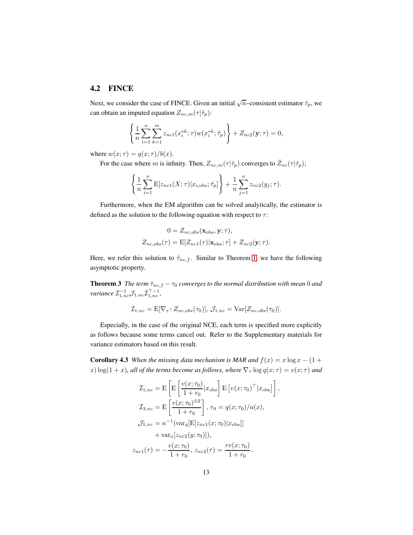#### 4.2 FINCE

Next, we consider the case of FINCE. Given an initial  $\sqrt{n}$ –consistent estimator  $\hat{\tau}_p$ , we can obtain an imputed equation  $Z_{nc,m}(\tau|\hat{\tau}_p)$ :

$$
\left\{\frac{1}{n}\sum_{i=1}^{n}\sum_{k=1}^{m}z_{nc1}(x_{i}^{*k};\tau)w(x_{i}^{*k};\hat{\tau}_{p})\right\}+Z_{nc2}(\mathbf{y};\tau)=0,
$$

where  $w(x; \tau) = q(x; \tau) / b(x)$ .

For the case where m is infinity. Then,  $Z_{nc,m}(\tau|\hat{\tau}_p)$  converges to  $\bar{Z}_{nc}(\tau|\hat{\tau}_p)$ ;

$$
\left\{\frac{1}{n}\sum_{i=1}^{n} \mathbf{E}[z_{nc1}(X;\tau)|x_{i,\text{obs}};\hat{\tau}_p]\right\} + \frac{1}{n}\sum_{j=1}^{n} z_{nc2}(y_j;\tau).
$$

Furthermore, when the EM algorithm can be solved analytically, the estimator is defined as the solution to the following equation with respect to  $\tau$ :

$$
0 = Z_{nc,obs}(\mathbf{x}_{obs}, \mathbf{y}; \tau),
$$
  

$$
Z_{nc,obs}(\tau) = \mathbb{E}[Z_{nc1}(\tau)|\mathbf{x}_{obs}; \tau] + Z_{nc2}(\mathbf{y}; \tau).
$$

Here, we refer this solution to  $\hat{\tau}_{nc,f}$ . Similar to Theorem [1,](#page-10-1) we have the following asymptotic property.

**Theorem 3** *The term*  $\hat{\tau}_{nc,f} - \tau_0$  *converges to the normal distribution with mean* 0 *and*  $\textit{variance}~\mathcal{I}_{1,nc}^{-1}\mathcal{J}_{1,nc}\mathcal{I}_{1,nc}^{\top-1},$ 

$$
\mathcal{I}_{1,nc} = \mathbf{E}[\nabla_{\tau} \tau Z_{nc,obs}(\tau_0)], \mathcal{J}_{1,nc} = \text{Var}[Z_{nc,obs}(\tau_0)].
$$

<span id="page-12-0"></span>Especially, in the case of the original NCE, each term is specified more explicitly as follows because some terms cancel out. Refer to the Supplementary materials for variance estimators based on this result.

**Corollary 4.3** *When the missing data mechanism is MAR and*  $f(x) = x \log x - (1 +$ x)  $\log(1 + x)$ *, all of the terms become as follows, where*  $\nabla_{\tau} \log q(x;\tau) = v(x;\tau)$  *and* 

$$
\mathcal{I}_{1,nc} = \mathbf{E} \left[ \mathbf{E} \left[ \frac{v(x; \tau_0)}{1 + r_0} | x_{\text{obs}} \right] \mathbf{E} \left[ v(x; \tau_0)^\top | x_{\text{obs}} \right] \right],
$$
\n
$$
\mathcal{I}_{3,nc} = \mathbf{E} \left[ \frac{v(x; \tau_0)^{\otimes 2}}{1 + r_0} \right], \quad r_0 = q(x; \tau_0) / a(x),
$$
\n
$$
\mathcal{I}_{1,nc} = n^{-1} (\text{var}_q[\mathbf{E}[z_{nc1}(x; \tau_0) | x_{\text{obs}}]]
$$
\n
$$
+ \text{var}_a[z_{nc2}(y; \tau_0)]),
$$
\n
$$
z_{nc1}(\tau) = -\frac{v(x; \tau_0)}{1 + r_0}, \quad z_{nc2}(\tau) = \frac{rv(x; \tau_0)}{1 + r_0}.
$$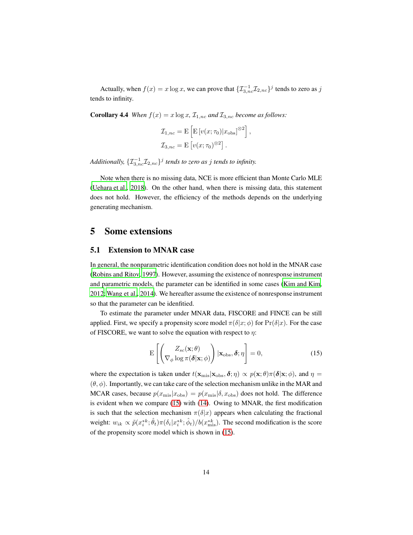<span id="page-13-2"></span>Actually, when  $f(x) = x \log x$ , we can prove that  $\{\mathcal{I}_{3,nc}^{-1}\mathcal{I}_{2,nc}\}^j$  tends to zero as j tends to infinity.

**Corollary 4.4** *When*  $f(x) = x \log x$ ,  $\mathcal{I}_{1,nc}$  *and*  $\mathcal{I}_{3,nc}$  *become as follows:* 

$$
\mathcal{I}_{1,nc} = \mathbf{E} \left[ \mathbf{E} \left[ v(x; \tau_0) | x_{\text{obs}} \right]^{\otimes 2} \right],
$$
  

$$
\mathcal{I}_{3,nc} = \mathbf{E} \left[ v(x; \tau_0)^{\otimes 2} \right].
$$

*Additionally,*  $\{ \mathcal{I}_{3,nc}^{-1} \mathcal{I}_{2,nc} \}$ <sup>*j*</sup> *tends to zero as j tends to infinity.* 

Note when there is no missing data, NCE is more efficient than Monte Carlo MLE [\(Uehara et al., 2018\)](#page-23-4). On the other hand, when there is missing data, this statement does not hold. However, the efficiency of the methods depends on the underlying generating mechanism.

### <span id="page-13-0"></span>5 Some extensions

#### 5.1 Extension to MNAR case

In general, the nonparametric identification condition does not hold in the MNAR case [\(Robins and Ritov, 1997](#page-22-6)). However, assuming the existence of nonresponse instrument and parametric models, the parameter can be identified in some cases [\(Kim and Kim,](#page-21-8) [2012;](#page-21-8) [Wang et al.](#page-23-6), [2014\)](#page-23-6). We hereafter assume the existence of nonresponse instrument so that the parameter can be idenfitied.

To estimate the parameter under MNAR data, FISCORE and FINCE can be still applied. First, we specify a propensity score model  $\pi(\delta|x;\phi)$  for  $\Pr(\delta|x)$ . For the case of FISCORE, we want to solve the equation with respect to  $\eta$ :

<span id="page-13-1"></span>
$$
\mathbf{E}\left[\left(\frac{Z_{sc}(\mathbf{x};\theta)}{\nabla_{\phi}\log\pi(\boldsymbol{\delta}|\mathbf{x};\phi)}\right)|\mathbf{x}_{\text{obs}},\boldsymbol{\delta};\eta\right]=0,
$$
\n(15)

where the expectation is taken under  $t(\mathbf{x}_{mis}|\mathbf{x}_{obs}, \boldsymbol{\delta}; \eta) \propto p(\mathbf{x}; \theta) \pi(\boldsymbol{\delta}|\mathbf{x}; \phi)$ , and  $\eta =$  $(\theta, \phi)$ . Importantly, we can take care of the selection mechanism unlike in the MAR and MCAR cases, because  $p(x_{\text{mis}}|x_{\text{obs}}) = p(x_{\text{mis}}|\delta, x_{\text{obs}})$  does not hold. The difference is evident when we compare [\(15\)](#page-13-1) with [\(14\)](#page-9-1). Owing to MNAR, the first modification is such that the selection mechanism  $\pi(\delta|x)$  appears when calculating the fractional weight:  $w_{ik} \propto \tilde{p}(x_i^{*k}; \hat{\theta}_t) \pi(\delta_i | x_i^{*k}; \hat{\phi}_t) / b(x_{\text{mis}}^{*k})$ . The second modification is the score of the propensity score model which is shown in [\(15\)](#page-13-1).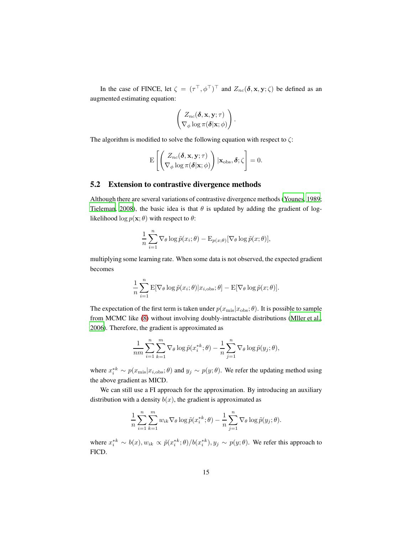In the case of FINCE, let  $\zeta = (\tau^\top, \phi^\top)^\top$  and  $Z_{nc}(\delta, \mathbf{x}, \mathbf{y}; \zeta)$  be defined as an augmented estimating equation:

$$
\begin{pmatrix} Z_{nc}(\boldsymbol{\delta}, \mathbf{x}, \mathbf{y}; \tau) \\ \nabla_{\phi} \log \pi(\boldsymbol{\delta} | \mathbf{x}; \phi) \end{pmatrix}.
$$

The algorithm is modified to solve the following equation with respect to  $\zeta$ :

$$
\mathrm{E}\left[\begin{pmatrix} Z_{nc}(\boldsymbol{\delta}, \mathbf{x}, \mathbf{y}; \tau) \\ \nabla_{\phi} \log \pi(\boldsymbol{\delta} | \mathbf{x}; \phi) \end{pmatrix} | \mathbf{x}_{\text{obs}}, \boldsymbol{\delta}; \zeta\right] = 0.
$$

#### 5.2 Extension to contrastive divergence methods

Although there are several variations of contrastive divergence methods [\(Younes](#page-23-7), [1989;](#page-23-7) [Tieleman, 2008\)](#page-22-7), the basic idea is that  $\theta$  is updated by adding the gradient of loglikelihood  $\log p(\mathbf{x}; \theta)$  with respect to  $\theta$ :

$$
\frac{1}{n} \sum_{i=1}^{n} \nabla_{\theta} \log \tilde{p}(x_i; \theta) - \mathcal{E}_{p(x; \theta)}[\nabla_{\theta} \log \tilde{p}(x; \theta)],
$$

multiplying some learning rate. When some data is not observed, the expected gradient becomes

$$
\frac{1}{n} \sum_{i=1}^{n} \mathbf{E}[\nabla_{\theta} \log \tilde{p}(x_i; \theta) | x_{i, \text{obs}}; \theta] - \mathbf{E}[\nabla_{\theta} \log \tilde{p}(x; \theta)].
$$

The expectation of the first term is taken under  $p(x_{\text{mis}}|x_{\text{obs}};\theta)$ . It is possible to sample from MCMC like [\(8\)](#page-6-2) without involving doubly-intractable distributions [\(Mller et al.,](#page-21-9) [2006\)](#page-21-9). Therefore, the gradient is approximated as

$$
\frac{1}{nm} \sum_{i=1}^{n} \sum_{k=1}^{m} \nabla_{\theta} \log \tilde{p}(x_i^{*k}; \theta) - \frac{1}{n} \sum_{j=1}^{n} \nabla_{\theta} \log \tilde{p}(y_j; \theta),
$$

where  $x_i^{*k} \sim p(x_{\text{mis}}|x_{i,\text{obs}};\theta)$  and  $y_j \sim p(y;\theta)$ . We refer the updating method using the above gradient as MICD.

We can still use a FI approach for the approximation. By introducing an auxiliary distribution with a density  $b(x)$ , the gradient is approximated as

$$
\frac{1}{n}\sum_{i=1}^n\sum_{k=1}^m w_{ik}\nabla_\theta\log\tilde{p}(x_i^{*k};\theta) - \frac{1}{n}\sum_{j=1}^n\nabla_\theta\log\tilde{p}(y_j;\theta).
$$

where  $x_i^{*k} \sim b(x), w_{ik} \propto \tilde{p}(x_i^{*k}; \theta) / b(x_i^{*k}), y_j \sim p(y; \theta)$ . We refer this approach to FICD.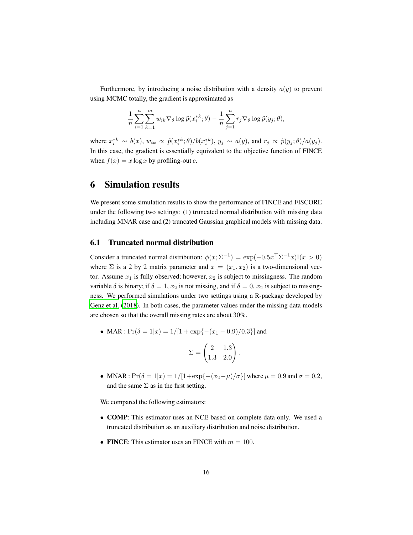Furthermore, by introducing a noise distribution with a density  $a(y)$  to prevent using MCMC totally, the gradient is approximated as

$$
\frac{1}{n}\sum_{i=1}^n\sum_{k=1}^m w_{ik}\nabla_\theta \log \tilde{p}(x_i^{*k};\theta) - \frac{1}{n}\sum_{j=1}^n r_j \nabla_\theta \log \tilde{p}(y_j;\theta),
$$

where  $x_i^{*k} \sim b(x)$ ,  $w_{ik} \propto \tilde{p}(x_i^{*k};\theta)/b(x_i^{*k})$ ,  $y_j \sim a(y)$ , and  $r_j \propto \tilde{p}(y_j;\theta)/a(y_j)$ . In this case, the gradient is essentially equivalent to the objective function of FINCE when  $f(x) = x \log x$  by profiling-out c.

### <span id="page-15-0"></span>6 Simulation results

We present some simulation results to show the performance of FINCE and FISCORE under the following two settings: (1) truncated normal distribution with missing data including MNAR case and (2) truncated Gaussian graphical models with missing data.

#### <span id="page-15-1"></span>6.1 Truncated normal distribution

Consider a truncated normal distribution:  $\phi(x; \Sigma^{-1}) = \exp(-0.5x^{\top} \Sigma^{-1} x) I(x > 0)$ where  $\Sigma$  is a 2 by 2 matrix parameter and  $x = (x_1, x_2)$  is a two-dimensional vector. Assume  $x_1$  is fully observed; however,  $x_2$  is subject to missingness. The random variable  $\delta$  is binary; if  $\delta = 1$ ,  $x_2$  is not missing, and if  $\delta = 0$ ,  $x_2$  is subject to missingness. We performed simulations under two settings using a R-package developed by [Genz et al.](#page-20-12) [\(2018\)](#page-20-12). In both cases, the parameter values under the missing data models are chosen so that the overall missing rates are about 30%.

• MAR :  $Pr(\delta = 1|x) = 1/[1 + exp{-(x_1 - 0.9)/0.3}]$  and

$$
\Sigma = \begin{pmatrix} 2 & 1.3 \\ 1.3 & 2.0 \end{pmatrix}
$$

.

• MNAR :  $Pr(\delta = 1|x) = 1/[1+\exp\{-(x_2-\mu)/\sigma\}]$  where  $\mu = 0.9$  and  $\sigma = 0.2$ , and the same  $\Sigma$  as in the first setting.

We compared the following estimators:

- COMP: This estimator uses an NCE based on complete data only. We used a truncated distribution as an auxiliary distribution and noise distribution.
- FINCE: This estimator uses an FINCE with  $m = 100$ .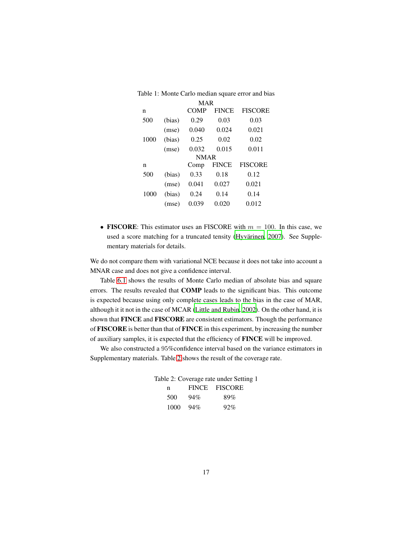| <b>MAR</b> |             |             |              |                |
|------------|-------------|-------------|--------------|----------------|
| n          |             | <b>COMP</b> | <b>FINCE</b> | <b>FISCORE</b> |
| 500        | (bias)      | 0.29        | 0.03         | 0.03           |
|            | (mse)       | 0.040       | 0.024        | 0.021          |
| 1000       | (bias)      | 0.25        | 0.02         | 0.02           |
|            | (mse)       | 0.032       | 0.015        | 0.011          |
|            | <b>NMAR</b> |             |              |                |
| n          |             | Comp        | <b>FINCE</b> | <b>FISCORE</b> |
| 500        | (bias)      | 0.33        | 0.18         | 0.12           |
|            | (mse)       | 0.041       | 0.027        | 0.021          |
| 1000       | (bias)      | 0.24        | 0.14         | 0.14           |
|            | (mse)       | 0.039       | 0.020        | 0.012          |

Table 1: Monte Carlo median square error and bias

• FISCORE: This estimator uses an FISCORE with  $m = 100$ . In this case, we used a score matching for a truncated tensity (Hyvärinen, 2007). See Supplementary materials for details.

We do not compare them with variational NCE because it does not take into account a MNAR case and does not give a confidence interval.

Table [6.1](#page-15-1) shows the results of Monte Carlo median of absolute bias and square errors. The results revealed that COMP leads to the significant bias. This outcome is expected because using only complete cases leads to the bias in the case of MAR, although it it not in the case of MCAR [\(Little and Rubin, 2002](#page-21-1)). On the other hand, it is shown that FINCE and FISCORE are consistent estimators. Though the performance of FISCORE is better than that of FINCE in this experiment, by increasing the number of auxiliary samples, it is expected that the efficiency of FINCE will be improved.

We also constructed a 95%confidence interval based on the variance estimators in Supplementary materials. Table [2](#page-16-0) shows the result of the coverage rate.

<span id="page-16-0"></span>

| Table 2: Coverage rate under Setting 1 |     |               |
|----------------------------------------|-----|---------------|
| n                                      |     | FINCE FISCORE |
| 500                                    | 94% | 89%           |
| $1000 - 94\%$                          |     | 92%           |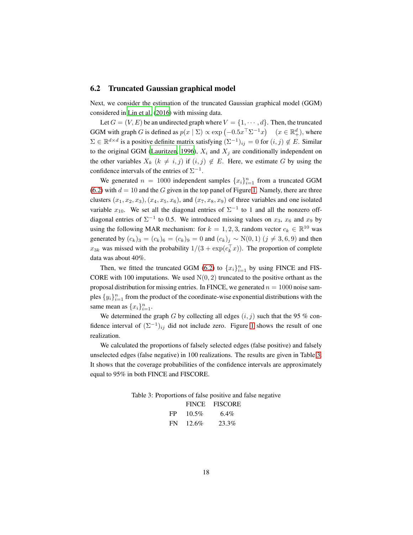#### <span id="page-17-0"></span>6.2 Truncated Gaussian graphical model

Next, we consider the estimation of the truncated Gaussian graphical model (GGM) considered in [Lin et al. \(2016](#page-21-0)) with missing data.

Let  $G = (V, E)$  be an undirected graph where  $V = \{1, \dots, d\}$ . Then, the truncated GGM with graph G is defined as  $p(x | \Sigma) \propto \exp(-0.5x^{\top} \Sigma^{-1} x)$   $(x \in \mathbb{R}^d_+)$ , where  $\Sigma \in \mathbb{R}^{d \times d}$  is a positive definite matrix satisfying  $(\Sigma^{-1})_{ij} = 0$  for  $(i, j) \notin E$ . Similar to the original GGM [\(Lauritzen](#page-21-10), [1996\)](#page-21-10),  $X_i$  and  $X_j$  are conditionally independent on the other variables  $X_k$   $(k \neq i, j)$  if  $(i, j) \notin E$ . Here, we estimate G by using the confidence intervals of the entries of  $\Sigma^{-1}$ .

We generated  $n = 1000$  independent samples  ${x_i}_{i=1}^n$  from a truncated GGM [\(6.2\)](#page-17-0) with  $d = 10$  and the G given in the top panel of Figure [1.](#page-18-0) Namely, there are three clusters  $(x_1, x_2, x_3), (x_4, x_5, x_6)$ , and  $(x_7, x_8, x_9)$  of three variables and one isolated variable  $x_{10}$ . We set all the diagonal entries of  $\Sigma^{-1}$  to 1 and all the nonzero offdiagonal entries of  $\Sigma^{-1}$  to 0.5. We introduced missing values on  $x_3$ ,  $x_6$  and  $x_9$  by using the following MAR mechanism: for  $k = 1, 2, 3$ , random vector  $c_k \in \mathbb{R}^{10}$  was generated by  $(c_k)_3 = (c_k)_6 = (c_k)_9 = 0$  and  $(c_k)_j \sim N(0, 1)$   $(j \neq 3, 6, 9)$  and then  $x_{3k}$  was missed with the probability  $1/(3 + \exp(c_k^{\top} x))$ . The proportion of complete data was about 40%.

Then, we fitted the truncated GGM [\(6.2\)](#page-17-0) to  ${x_i}_{i=1}^n$  by using FINCE and FIS-CORE with 100 imputations. We used  $N(0, 2)$  truncated to the positive orthant as the proposal distribution for missing entries. In FINCE, we generated  $n = 1000$  noise samples  $\{y_i\}_{i=1}^n$  from the product of the coordinate-wise exponential distributions with the same mean as  $\{x_i\}_{i=1}^n$ .

We determined the graph G by collecting all edges  $(i, j)$  such that the 95 % confidence interval of  $(\Sigma^{-1})_{ij}$  did not include zero. Figure [1](#page-18-0) shows the result of one realization.

We calculated the proportions of falsely selected edges (false positive) and falsely unselected edges (false negative) in 100 realizations. The results are given in Table [3.](#page-17-1) It shows that the coverage probabilities of the confidence intervals are approximately equal to 95% in both FINCE and FISCORE.

Table 3: Proportions of false positive and false negative

<span id="page-17-1"></span>

|      |          | FINCE FISCORE |
|------|----------|---------------|
| FP - | $10.5\%$ | $6.4\%$       |
| FN.  | $12.6\%$ | 23.3%         |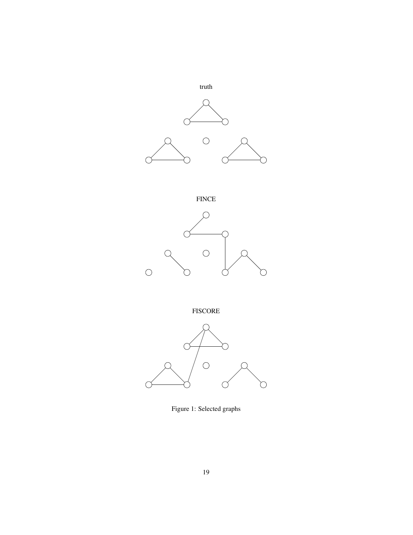

FINCE



FISCORE



<span id="page-18-0"></span>Figure 1: Selected graphs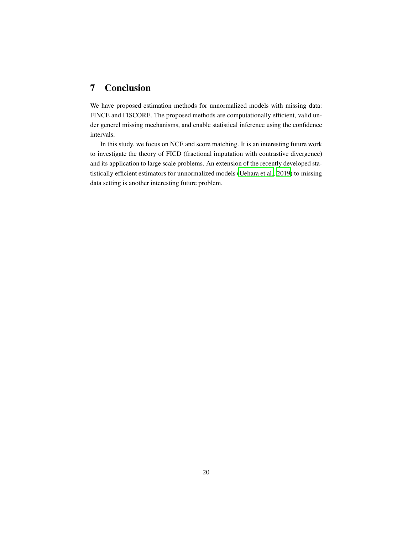# 7 Conclusion

We have proposed estimation methods for unnormalized models with missing data: FINCE and FISCORE. The proposed methods are computationally efficient, valid under generel missing mechanisms, and enable statistical inference using the confidence intervals.

In this study, we focus on NCE and score matching. It is an interesting future work to investigate the theory of FICD (fractional imputation with contrastive divergence) and its application to large scale problems. An extension of the recently developed statistically efficient estimators for unnormalized models [\(Uehara et al., 2019\)](#page-23-8) to missing data setting is another interesting future problem.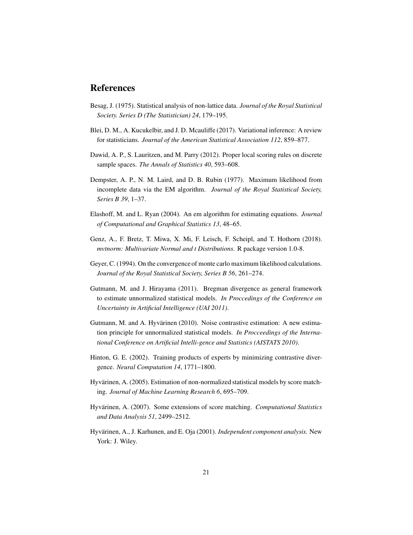## References

- <span id="page-20-0"></span>Besag, J. (1975). Statistical analysis of non-lattice data. *Journal of the Royal Statistical Society. Series D (The Statistician) 24*, 179–195.
- <span id="page-20-5"></span>Blei, D. M., A. Kucukelbir, and J. D. Mcauliffe (2017). Variational inference: A review for statisticians. *Journal of the American Statistical Association 112*, 859–877.
- <span id="page-20-11"></span>Dawid, A. P., S. Lauritzen, and M. Parry (2012). Proper local scoring rules on discrete sample spaces. *The Annals of Statistics 40*, 593–608.
- <span id="page-20-6"></span>Dempster, A. P., N. M. Laird, and D. B. Rubin (1977). Maximum likelihood from incomplete data via the EM algorithm. *Journal of the Royal Statistical Society, Series B 39*, 1–37.
- <span id="page-20-7"></span>Elashoff, M. and L. Ryan (2004). An em algorithm for estimating equations. *Journal of Computational and Graphical Statistics 13*, 48–65.
- <span id="page-20-12"></span>Genz, A., F. Bretz, T. Miwa, X. Mi, F. Leisch, F. Scheipl, and T. Hothorn (2018). *mvtnorm: Multivariate Normal and t Distributions*. R package version 1.0-8.
- <span id="page-20-8"></span>Geyer, C. (1994). On the convergence of monte carlo maximum likelihood calculations. *Journal of the Royal Statistical Society, Series B 56*, 261–274.
- <span id="page-20-9"></span>Gutmann, M. and J. Hirayama (2011). Bregman divergence as general framework to estimate unnormalized statistical models. *In Proccedings of the Conference on Uncertainty in Artificial Intelligence (UAI 2011)*.
- <span id="page-20-3"></span>Gutmann, M. and A. Hyvärinen (2010). Noise contrastive estimation: A new estimation principle for unnormalized statistical models. *In Procceedings of the International Conference on Artificial Intelli-gence and Statistics (AISTATS 2010)*.
- <span id="page-20-1"></span>Hinton, G. E. (2002). Training products of experts by minimizing contrastive divergence. *Neural Computation 14*, 1771–1800.
- <span id="page-20-4"></span>Hyvärinen, A. (2005). Estimation of non-normalized statistical models by score matching. *Journal of Machine Learning Research 6*, 695–709.
- <span id="page-20-10"></span>Hyvärinen, A. (2007). Some extensions of score matching. *Computational Statistics and Data Analysis 51*, 2499–2512.
- <span id="page-20-2"></span>Hyvärinen, A., J. Karhunen, and E. Oja (2001). *Independent component analysis*. New York: J. Wiley.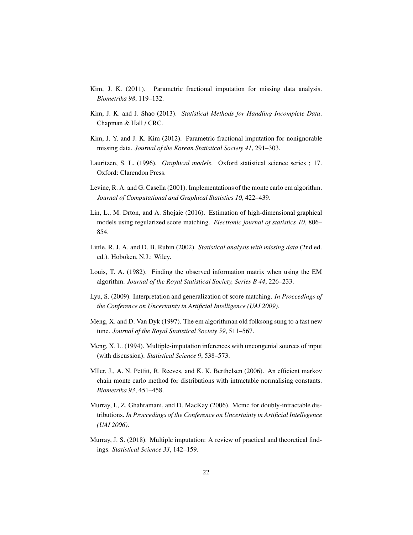- <span id="page-21-2"></span>Kim, J. K. (2011). Parametric fractional imputation for missing data analysis. *Biometrika 98*, 119–132.
- <span id="page-21-3"></span>Kim, J. K. and J. Shao (2013). *Statistical Methods for Handling Incomplete Data*. Chapman & Hall / CRC.
- <span id="page-21-8"></span>Kim, J. Y. and J. K. Kim (2012). Parametric fractional imputation for nonignorable missing data. *Journal of the Korean Statistical Society 41*, 291–303.
- <span id="page-21-10"></span>Lauritzen, S. L. (1996). *Graphical models*. Oxford statistical science series ; 17. Oxford: Clarendon Press.
- <span id="page-21-12"></span>Levine, R. A. and G. Casella (2001). Implementations of the monte carlo em algorithm. *Journal of Computational and Graphical Statistics 10*, 422–439.
- <span id="page-21-0"></span>Lin, L., M. Drton, and A. Shojaie (2016). Estimation of high-dimensional graphical models using regularized score matching. *Electronic journal of statistics 10*, 806– 854.
- <span id="page-21-1"></span>Little, R. J. A. and D. B. Rubin (2002). *Statistical analysis with missing data* (2nd ed. ed.). Hoboken, N.J.: Wiley.
- <span id="page-21-5"></span>Louis, T. A. (1982). Finding the observed information matrix when using the EM algorithm. *Journal of the Royal Statistical Society, Series B 44*, 226–233.
- <span id="page-21-7"></span>Lyu, S. (2009). Interpretation and generalization of score matching. *In Proccedings of the Conference on Uncertainty in Artificial Intelligence (UAI 2009)*.
- <span id="page-21-4"></span>Meng, X. and D. Van Dyk (1997). The em algorithman old folksong sung to a fast new tune. *Journal of the Royal Statistical Society 59*, 511–567.
- <span id="page-21-11"></span>Meng, X. L. (1994). Multiple-imputation inferences with uncongenial sources of input (with discussion). *Statistical Science 9*, 538–573.
- <span id="page-21-9"></span>Mller, J., A. N. Pettitt, R. Reeves, and K. K. Berthelsen (2006). An efficient markov chain monte carlo method for distributions with intractable normalising constants. *Biometrika 93*, 451–458.
- <span id="page-21-13"></span>Murray, I., Z. Ghahramani, and D. MacKay (2006). Mcmc for doubly-intractable distributions. *In Proccedings of the Conference on Uncertainty in Artificial Intellegence (UAI 2006)*.
- <span id="page-21-6"></span>Murray, J. S. (2018). Multiple imputation: A review of practical and theoretical findings. *Statistical Science 33*, 142–159.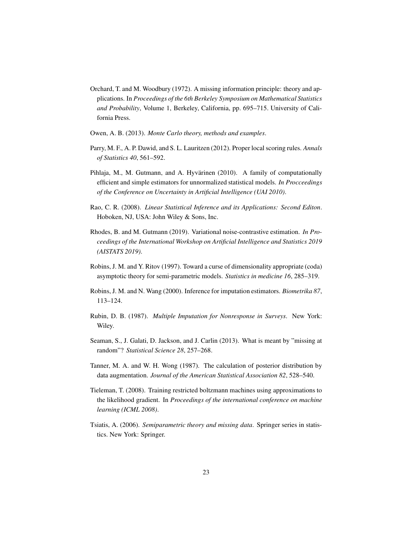- <span id="page-22-5"></span>Orchard, T. and M. Woodbury (1972). A missing information principle: theory and applications. In *Proceedings of the 6th Berkeley Symposium on Mathematical Statistics and Probability*, Volume 1, Berkeley, California, pp. 695–715. University of California Press.
- <span id="page-22-9"></span>Owen, A. B. (2013). *Monte Carlo theory, methods and examples*.
- <span id="page-22-4"></span>Parry, M. F., A. P. Dawid, and S. L. Lauritzen (2012). Proper local scoring rules. *Annals of Statistics 40*, 561–592.
- <span id="page-22-3"></span>Pihlaja, M., M. Gutmann, and A. Hyvärinen (2010). A family of computationally efficient and simple estimators for unnormalized statistical models. *In Procceedings of the Conference on Uncertainty in Artificial Intelligence (UAI 2010)*.
- <span id="page-22-8"></span>Rao, C. R. (2008). *Linear Statistical Inference and its Applications: Second Editon*. Hoboken, NJ, USA: John Wiley & Sons, Inc.
- <span id="page-22-0"></span>Rhodes, B. and M. Gutmann (2019). Variational noise-contrastive estimation. *In Proceedings of the International Workshop on Artificial Intelligence and Statistics 2019 (AISTATS 2019)*.
- <span id="page-22-6"></span>Robins, J. M. and Y. Ritov (1997). Toward a curse of dimensionality appropriate (coda) asymptotic theory for semi-parametric models. *Statistics in medicine 16*, 285–319.
- <span id="page-22-11"></span>Robins, J. M. and N. Wang (2000). Inference for imputation estimators. *Biometrika 87*, 113–124.
- <span id="page-22-2"></span>Rubin, D. B. (1987). *Multiple Imputation for Nonresponse in Surveys*. New York: Wiley.
- <span id="page-22-1"></span>Seaman, S., J. Galati, D. Jackson, and J. Carlin (2013). What is meant by "missing at random"? *Statistical Science 28*, 257–268.
- <span id="page-22-12"></span>Tanner, M. A. and W. H. Wong (1987). The calculation of posterior distribution by data augmentation. *Journal of the American Statistical Association 82*, 528–540.
- <span id="page-22-7"></span>Tieleman, T. (2008). Training restricted boltzmann machines using approximations to the likelihood gradient. In *Proceedings of the international conference on machine learning (ICML 2008)*.
- <span id="page-22-10"></span>Tsiatis, A. (2006). *Semiparametric theory and missing data*. Springer series in statistics. New York: Springer.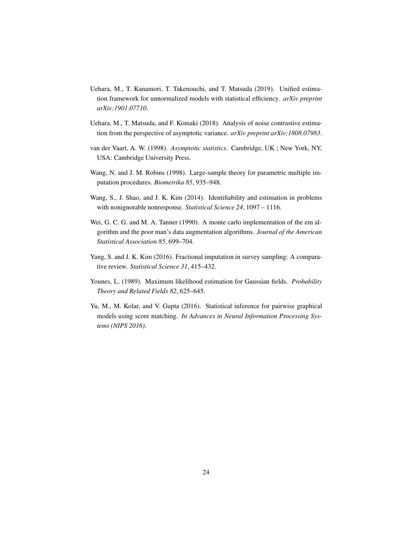- <span id="page-23-8"></span>Uehara, M., T. Kanamori, T. Takenouchi, and T. Matsuda (2019). Unified estimation framework for unnormalized models with statistical efficiency. *arXiv preprint arXiv:1901.07710*.
- <span id="page-23-4"></span>Uehara, M., T. Matsuda, and F. Komaki (2018). Analysis of noise contrastive estimation from the perspective of asymptotic variance. *arXiv preprint arXiv:1808.07983*.
- <span id="page-23-3"></span>van der Vaart, A. W. (1998). *Asymptotic statistics*. Cambridge, UK ; New York, NY, USA: Cambridge University Press.
- <span id="page-23-5"></span>Wang, N. and J. M. Robins (1998). Large-sample theory for parametric multiple imputation procedures. *Biometrika 85*, 935–948.
- <span id="page-23-6"></span>Wang, S., J. Shao, and J. K. Kim (2014). Identifiability and estimation in problems with nonignorable nonresponse. *Statistical Science 24*, 1097 – 1116.
- <span id="page-23-2"></span>Wei, G. C. G. and M. A. Tanner (1990). A monte carlo implementation of the em algorithm and the poor man's data augmentation algorithms. *Journal of the American Statistical Association 85*, 699–704.
- <span id="page-23-1"></span>Yang, S. and J. K. Kim (2016). Fractional imputation in survey sampling: A comparative review. *Statistical Science 31*, 415–432.
- <span id="page-23-7"></span>Younes, L. (1989). Maximum likelihood estimation for Gaussian fields. *Probability Theory and Related Fields 82*, 625–645.
- <span id="page-23-0"></span>Yu, M., M. Kolar, and V. Gupta (2016). Statistical inference for pairwise graphical models using score matching. *In Advances in Neural Information Processing Systems (NIPS 2016)*.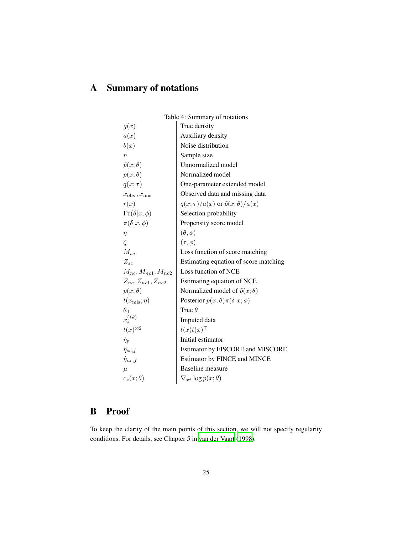# A Summary of notations

| Table 4: Summary of notations       |                                                |  |
|-------------------------------------|------------------------------------------------|--|
| g(x)                                | True density                                   |  |
| a(x)                                | Auxiliary density                              |  |
| b(x)                                | Noise distribution                             |  |
| $\overline{n}$                      | Sample size                                    |  |
| $\tilde{p}(x;\theta)$               | Unnormalized model                             |  |
| $p(x; \theta)$                      | Normalized model                               |  |
| $q(x;\tau)$                         | One-parameter extended model                   |  |
| $x_{\text{obs}}$ , $x_{\text{mis}}$ | Observed data and missing data                 |  |
| r(x)                                | $q(x;\tau)/a(x)$ or $\tilde{p}(x;\theta)/a(x)$ |  |
| $\Pr(\delta x,\phi)$                | Selection probability                          |  |
| $\pi(\delta x,\phi)$                | Propensity score model                         |  |
| $\eta$                              | $(\theta, \phi)$                               |  |
| $\zeta$                             | $(\tau, \phi)$                                 |  |
| $M_{sc}$                            | Loss function of score matching                |  |
| $Z_{sc}$                            | Estimating equation of score matching          |  |
| $M_{nc}, M_{nc1}, M_{nc2}$          | Loss function of NCE                           |  |
| $Z_{nc}, Z_{nc1}, Z_{nc2}$          | Estimating equation of NCE                     |  |
| $p(x; \theta)$                      | Normalized model of $\tilde{p}(x; \theta)$     |  |
| $t(x_{\text{mis}};\eta)$            | Posterior $p(x; \theta) \pi(\delta   x; \phi)$ |  |
| $\theta_0$                          | True $\theta$                                  |  |
| $x_i^{(\ast k)}$                    | Imputed data                                   |  |
| $t(x)^{\otimes 2}$                  | $t(x)t(x)^\top$                                |  |
| $\hat{\eta}_p$                      | Initial estimator                              |  |
| $\hat{\eta}_{sc,f}$                 | Estimator by FISCORE and MISCORE               |  |
| $\hat{\eta}_{nc,f}$                 | Estimator by FINCE and MINCE                   |  |
| $\mu$                               | Baseline measure                               |  |
| $c_s(x;\theta)$                     | $\nabla_{x^s} \log \tilde{p}(x; \theta)$       |  |

# B Proof

To keep the clarity of the main points of this section, we will not specify regularity conditions. For details, see Chapter 5 in [van der Vaart](#page-23-3) [\(1998\)](#page-23-3).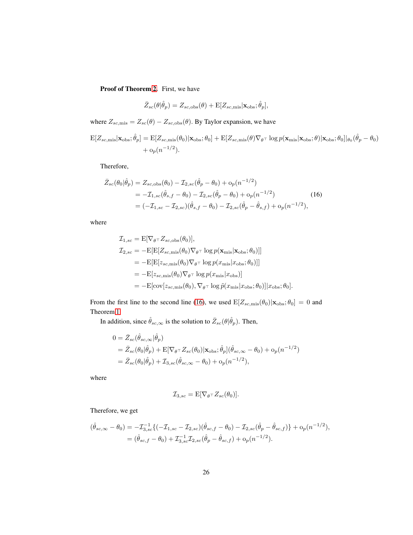Proof of Theorem [2.](#page-10-0) First, we have

<span id="page-25-0"></span>
$$
\bar{Z}_{sc}(\theta|\hat{\theta}_{p}) = Z_{sc, \text{obs}}(\theta) + \mathbb{E}[Z_{sc, \text{mis}} | \mathbf{x}_{\text{obs}}; \hat{\theta}_{p}],
$$

where  $Z_{sc,\text{mis}} = Z_{sc}(\theta) - Z_{sc,\text{obs}}(\theta)$ . By Taylor expansion, we have

 $\begin{equation} \mathrm{E}[Z_{sc,\text{mis}}|\mathbf{x}_{\text{obs}};\hat{\theta}_p] = \mathrm{E}[Z_{sc,\text{mis}}(\theta_0)|\mathbf{x}_{\text{obs}};\theta_0] + \mathrm{E}[Z_{sc,\text{mis}}(\theta)\nabla_{\theta} \tau \log p(\mathbf{x}_{\text{mis}}|\mathbf{x}_{\text{obs}};\theta)|\mathbf{x}_{\text{obs}};\theta_0]|_{\theta_0}(\hat{\theta}_p - \theta_0) \end{equation}$  $+ o_p(n^{-1/2}).$ 

Therefore,

$$
\bar{Z}_{sc}(\theta_0|\hat{\theta}_p) = Z_{sc,obs}(\theta_0) - \mathcal{I}_{2,sc}(\hat{\theta}_p - \theta_0) + o_p(n^{-1/2})
$$
  
=  $-\mathcal{I}_{1,sc}(\hat{\theta}_{s,f} - \theta_0) - \mathcal{I}_{2,sc}(\hat{\theta}_p - \theta_0) + o_p(n^{-1/2})$  (16)  
=  $(-\mathcal{I}_{1,sc} - \mathcal{I}_{2,sc})(\hat{\theta}_{s,f} - \theta_0) - \mathcal{I}_{2,sc}(\hat{\theta}_p - \hat{\theta}_{s,f}) + o_p(n^{-1/2}),$ 

where

$$
\mathcal{I}_{1,sc} = \mathbf{E}[\nabla_{\theta} \tau Z_{sc,obs}(\theta_0)],
$$
  
\n
$$
\mathcal{I}_{2,sc} = -\mathbf{E}[\mathbf{E}[Z_{sc,mis}(\theta_0)\nabla_{\theta} \tau \log p(\mathbf{x}_{mis}|\mathbf{x}_{obs};\theta_0)]]
$$
  
\n
$$
= -\mathbf{E}[\mathbf{E}[z_{sc,mis}(\theta_0)\nabla_{\theta} \tau \log p(x_{mis}|x_{obs};\theta_0)]]
$$
  
\n
$$
= -\mathbf{E}[z_{sc,mis}(\theta_0)\nabla_{\theta} \tau \log p(x_{mis}|x_{obs})]
$$
  
\n
$$
= -\mathbf{E}[\text{cov}[z_{sc,mis}(\theta_0), \nabla_{\theta} \tau \log \tilde{p}(x_{mis}|x_{obs};\theta_0)]|x_{obs};\theta_0].
$$

From the first line to the second line [\(16\)](#page-25-0), we used  $E[Z_{sc,mis}(\theta_0)|\mathbf{x}_{obs}; \theta_0] = 0$  and Theorem [1.](#page-10-1)

In addition, since  $\hat{\theta}_{sc,\infty}$  is the solution to  $\bar{Z}_{sc}(\theta|\hat{\theta}_p)$ . Then,

$$
0 = \bar{Z}_{sc}(\hat{\theta}_{sc,\infty}|\hat{\theta}_p)
$$
  
=  $\bar{Z}_{sc}(\theta_0|\hat{\theta}_p) + \mathbb{E}[\nabla_{\theta} \tau Z_{sc}(\theta_0)|\mathbf{x}_{obs};\hat{\theta}_p](\hat{\theta}_{sc,\infty} - \theta_0) + o_p(n^{-1/2})$   
=  $\bar{Z}_{sc}(\theta_0|\hat{\theta}_p) + \mathcal{I}_{3,sc}(\hat{\theta}_{sc,\infty} - \theta_0) + o_p(n^{-1/2}),$ 

where

$$
\mathcal{I}_{3,sc} = \mathbb{E}[\nabla_{\theta} \tau Z_{sc}(\theta_0)].
$$

Therefore, we get

$$
(\hat{\theta}_{sc,\infty} - \theta_0) = -\mathcal{I}_{3,sc}^{-1}\{(-\mathcal{I}_{1,sc} - \mathcal{I}_{2,sc})(\hat{\theta}_{sc,f} - \theta_0) - \mathcal{I}_{2,sc}(\hat{\theta}_p - \hat{\theta}_{sc,f})\} + o_p(n^{-1/2}),
$$
  
=  $(\hat{\theta}_{sc,f} - \theta_0) + \mathcal{I}_{3,sc}^{-1}\mathcal{I}_{2,sc}(\hat{\theta}_p - \hat{\theta}_{sc,f}) + o_p(n^{-1/2}).$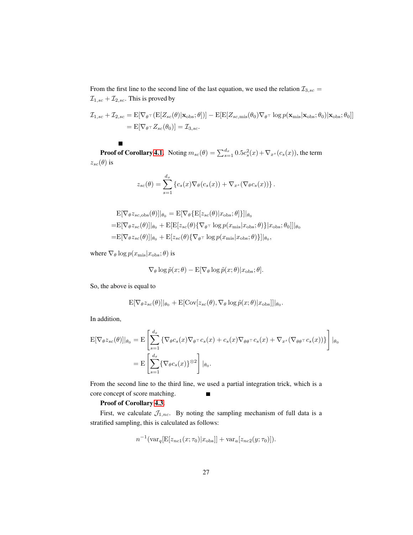From the first line to the second line of the last equation, we used the relation  $\mathcal{I}_{3,sc}$  =  $\mathcal{I}_{1,sc}+\mathcal{I}_{2,sc}.$  This is proved by

$$
\mathcal{I}_{1,sc} + \mathcal{I}_{2,sc} = \mathbb{E}[\nabla_{\theta} \tau \left( \mathbb{E}[Z_{sc}(\theta)|\mathbf{x}_{obs};\theta] \right)] - \mathbb{E}[\mathbb{E}[Z_{sc,\text{mis}}(\theta_0)\nabla_{\theta} \tau \log p(\mathbf{x}_{\text{mis}}|\mathbf{x}_{obs};\theta_0)|\mathbf{x}_{obs};\theta_0]]
$$
  
=  $\mathbb{E}[\nabla_{\theta} \tau Z_{sc}(\theta_0)] = \mathcal{I}_{3,sc}.$ 

**Proof of Corollary [4.1.](#page-10-2)** Noting  $m_{sc}(\theta) = \sum_{s=1}^{d_x} 0.5c_s^2(x) + \nabla_{x^s}(c_s(x))$ , the term  $z_{sc}(\theta)$  is

$$
z_{sc}(\theta) = \sum_{s=1}^{d_x} \left\{ c_s(x) \nabla_{\theta}(c_s(x)) + \nabla_{x^s} (\nabla_{\theta} c_s(x)) \right\}.
$$

$$
\begin{aligned} \mathbf{E}[\nabla_{\theta} z_{sc,obs}(\theta)]|_{\theta_0} &= \mathbf{E}[\nabla_{\theta} \{\mathbf{E}[z_{sc}(\theta)|x_{\text{obs}};\theta]\}]|_{\theta_0} \\ &= \mathbf{E}[\nabla_{\theta} z_{sc}(\theta)]|_{\theta_0} + \mathbf{E}[\mathbf{E}[z_{sc}(\theta)\{\nabla_{\theta} \tau \log p(x_{\text{mis}}|x_{\text{obs}};\theta)\}]|x_{\text{obs}};\theta_0]]|_{\theta_0} \\ &= \mathbf{E}[\nabla_{\theta} z_{sc}(\theta)]|_{\theta_0} + \mathbf{E}[z_{sc}(\theta)\{\nabla_{\theta} \tau \log p(x_{\text{mis}}|x_{\text{obs}};\theta)\}]|_{\theta_0}, \end{aligned}
$$

where  $\nabla$  $\theta$  log  $p(x_{\text{mis}}|x_{\text{obs}}; \theta)$  is

$$
\nabla_{\theta} \log \tilde{p}(x; \theta) - \mathbf{E} [\nabla_{\theta} \log \tilde{p}(x; \theta) | x_{\text{obs}}; \theta].
$$

So, the above is equal to

 $\blacksquare$ 

$$
\mathbf{E}[\nabla_{\theta} z_{sc}(\theta)]|_{\theta_0} + \mathbf{E}[\text{Cov}[z_{sc}(\theta), \nabla_{\theta} \log \tilde{p}(x; \theta)|x_{\text{obs}}]]|_{\theta_0}.
$$

In addition,

$$
\begin{split} \mathcal{E}[\nabla_{\theta} z_{sc}(\theta)]|_{\theta_{0}} &= \mathcal{E}\left[\sum_{s=1}^{d_{x}} \left\{\nabla_{\theta} c_{s}(x)\nabla_{\theta^{\top}} c_{s}(x) + c_{s}(x)\nabla_{\theta\theta^{\top}} c_{s}(x) + \nabla_{x^{s}}(\nabla_{\theta\theta^{\top}} c_{s}(x))\right\}\right]|_{\theta_{0}} \\ &= \mathcal{E}\left[\sum_{s=1}^{d_{x}} \left\{\nabla_{\theta} c_{s}(x)\right\}^{\otimes 2}\right]|_{\theta_{0}}. \end{split}
$$

From the second line to the third line, we used a partial integration trick, which is a core concept of score matching.  $\blacksquare$ 

#### Proof of Corollary [4.3.](#page-12-0)

First, we calculate  $\mathcal{J}_{1,nc}$ . By noting the sampling mechanism of full data is a stratified sampling, this is calculated as follows:

$$
n^{-1}(\text{var}_{q}[\mathbf{E}[z_{nc1}(x;\tau_0)|x_{\text{obs}}]] + \text{var}_{a}[z_{nc2}(y;\tau_0)]).
$$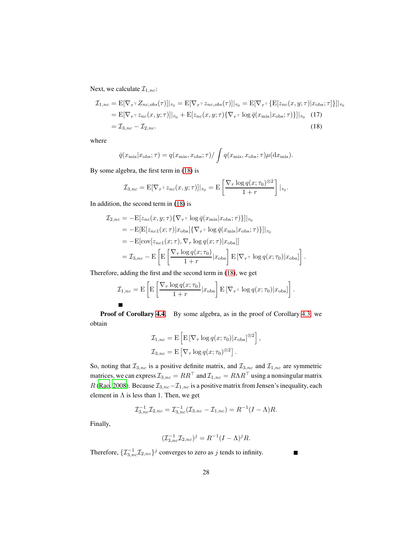Next, we calculate  $\mathcal{I}_{1,nc}$ :

$$
\mathcal{I}_{1,nc} = \mathbb{E}[\nabla_{\tau} \tau Z_{nc,obs}(\tau)]|_{\tau_0} = \mathbb{E}[\nabla_{\tau} \tau z_{nc,obs}(\tau)]|_{\tau_0} = \mathbb{E}[\nabla_{\tau} \tau \{ \mathbb{E}[z_{nc}(x, y; \tau)|x_{obs}; \tau] \}]|_{\tau_0}
$$
\n
$$
= \mathbb{E}[\nabla_{\tau} \tau z_{nc}(x, y; \tau)]|_{\tau_0} + \mathbb{E}[z_{nc}(x, y; \tau) \{\nabla_{\tau} \tau \log \bar{q}(x_{mis}|x_{obs}; \tau)\}]|_{\tau_0} \tag{17}
$$
\n
$$
= \mathcal{I}_{3,nc} - \mathcal{I}_{2,nc}. \tag{18}
$$

where

<span id="page-27-0"></span>
$$
\bar{q}(x_{\rm mis}|x_{\rm obs};\tau) = q(x_{\rm mis}, x_{\rm obs};\tau) / \int q(x_{\rm mis}, x_{\rm obs};\tau) \mu(\mathrm{d}x_{\rm mis}).
$$

By some algebra, the first term in [\(18\)](#page-27-0) is

$$
\mathcal{I}_{3,nc} = \mathbb{E}[\nabla_{\tau} \tau z_{nc}(x, y; \tau)]|_{\tau_0} = \mathbb{E}\left[\frac{\nabla_{\tau} \log q(x; \tau_0)^{\otimes 2}}{1+r}\right]|_{\tau_0}.
$$

In addition, the second term in [\(18\)](#page-27-0) is

$$
\mathcal{I}_{2,nc} = -\mathbf{E}[z_{nc}(x, y; \tau)\{\nabla_{\tau}\tau \log \bar{q}(x_{mis}|x_{obs}; \tau)\}]|_{\tau_0}
$$
\n
$$
= -\mathbf{E}[\mathbf{E}[z_{nc1}(x; \tau)|x_{obs}]\{\nabla_{\tau}\tau \log \bar{q}(x_{mis}|x_{obs}; \tau)\}]|_{\tau_0}
$$
\n
$$
= -\mathbf{E}[\text{cov}[z_{nc1}(x; \tau), \nabla_{\tau} \log q(x; \tau)|x_{obs}]]
$$
\n
$$
= \mathcal{I}_{3,nc} - \mathbf{E}\left[\mathbf{E}\left[\frac{\nabla_{\tau} \log q(x; \tau_0)}{1+r}|x_{obs}\right] \mathbf{E}\left[\nabla_{\tau}\tau \log q(x; \tau_0)|x_{obs}\right]\right].
$$

Therefore, adding the first and the second term in [\(18\)](#page-27-0), we get

$$
\mathcal{I}_{1,nc} = \mathbf{E} \left[ \mathbf{E} \left[ \frac{\nabla_{\tau} \log q(x; \tau_0)}{1+r} | x_{\text{obs}} \right] \mathbf{E} \left[ \nabla_{\tau} \tau \log q(x; \tau_0) | x_{\text{obs}} \right] \right].
$$

Proof of Corollary [4.4.](#page-13-2) By some algebra, as in the proof of Corollary [4.3,](#page-12-0) we obtain

$$
\mathcal{I}_{1,nc} = \mathbf{E} \left[ \mathbf{E} \left[ \nabla_{\tau} \log q(x; \tau_0) | x_{\text{obs}} \right]^{\otimes 2} \right],
$$
  

$$
\mathcal{I}_{3,nc} = \mathbf{E} \left[ \nabla_{\tau} \log q(x; \tau_0)^{\otimes 2} \right].
$$

So, noting that  $\mathcal{I}_{3,nc}$  is a positive definite matrix, and  $\mathcal{I}_{3,nc}$  and  $\mathcal{I}_{1,nc}$  are symmetric matrices, we can express  $\mathcal{I}_{3,nc} = RR^\top$  and  $\mathcal{I}_{1,nc} = R\Lambda R^\top$  using a nonsingular matrix R [\(Rao, 2008](#page-22-8)). Because  $\mathcal{I}_{3,nc} - \mathcal{I}_{1,nc}$  is a positive matrix from Jensen's inequality, each element in  $\Lambda$  is less than 1. Then, we get

$$
\mathcal{I}_{3,nc}^{-1}\mathcal{I}_{2,nc} = \mathcal{I}_{3,nc}^{-1}(\mathcal{I}_{3,nc} - \mathcal{I}_{1,nc}) = R^{-1}(I - \Lambda)R.
$$

Finally,

$$
(\mathcal{I}_{3,nc}^{-1}\mathcal{I}_{2,nc})^j = R^{-1}(I-\Lambda)^j R.
$$

Therefore,  $\{ \mathcal{I}_{3,nc}^{-1} \mathcal{I}_{2,nc} \}^j$  converges to zero as j tends to infinity.

 $\blacksquare$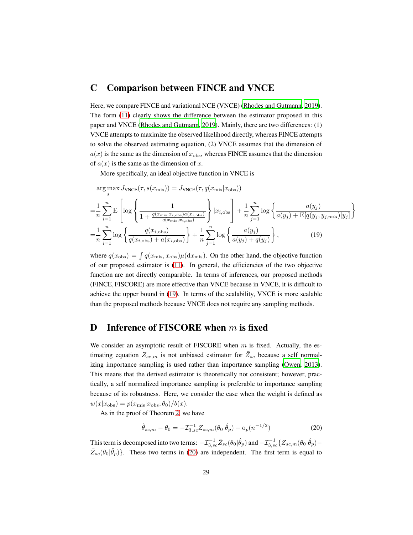### C Comparison between FINCE and VNCE

Here, we compare FINCE and variational NCE (VNCE) [\(Rhodes and Gutmann](#page-22-0), [2019\)](#page-22-0). The form [\(11\)](#page-7-0) clearly shows the difference between the estimator proposed in this paper and VNCE [\(Rhodes and Gutmann, 2019\)](#page-22-0). Mainly, there are two differences: (1) VNCE attempts to maximize the observed likelihood directly, whereas FINCE attempts to solve the observed estimating equation, (2) VNCE assumes that the dimension of  $a(x)$  is the same as the dimension of  $x_{\text{obs}}$ , whereas FINCE assumes that the dimension of  $a(x)$  is the same as the dimension of x.

More specifically, an ideal objective function in VNCE is

<span id="page-28-0"></span>
$$
\underset{s}{\arg\max} J_{\text{VNCE}}(\tau, s(x_{\text{mis}})) = J_{\text{VNCE}}(\tau, q(x_{\text{mis}}|x_{\text{obs}}))
$$

$$
= \frac{1}{n} \sum_{i=1}^{n} \mathbf{E} \left[ \log \left\{ \frac{1}{1 + \frac{q(x_{\text{mis}} | x_{i,\text{obs}}) a(x_{i,\text{obs}})}{q(x_{\text{mis}}, x_{i,\text{obs}})}} \right\} | x_{i,\text{obs}} \right] + \frac{1}{n} \sum_{j=1}^{n} \log \left\{ \frac{a(y_j)}{a(y_j) + \mathbf{E} [q(y_j, y_{j,\text{mis}}) | y_j]} \right\}
$$

$$
= \frac{1}{n} \sum_{i=1}^{n} \log \left\{ \frac{q(x_{i,\text{obs}})}{q(x_{i,\text{obs}}) + a(x_{i,\text{obs}})} \right\} + \frac{1}{n} \sum_{j=1}^{n} \log \left\{ \frac{a(y_j)}{a(y_j) + q(y_j)} \right\}, \tag{19}
$$

where  $q(x_{\text{obs}}) = \int q(x_{\text{mis}}, x_{\text{obs}}) \mu(dx_{\text{mis}})$ . On the other hand, the objective function of our proposed estimator is [\(11\)](#page-7-0). In general, the efficiencies of the two objective function are not directly comparable. In terms of inferences, our proposed methods (FINCE, FISCORE) are more effective than VNCE because in VNCE, it is difficult to achieve the upper bound in [\(19\)](#page-28-0). In terms of the scalability, VNCE is more scalable than the proposed methods because VNCE does not require any sampling methods.

### D Inference of FISCORE when  $m$  is fixed

We consider an asymptotic result of FISCORE when  $m$  is fixed. Actually, the estimating equation  $Z_{sc,m}$  is not unbiased estimator for  $\bar{Z}_{sc}$  because a self normalizing importance sampling is used rather than importance sampling [\(Owen](#page-22-9), [2013\)](#page-22-9). This means that the derived estimator is theoretically not consistent; however, practically, a self normalized importance sampling is preferable to importance sampling because of its robustness. Here, we consider the case when the weight is defined as  $w(x|x_{\text{obs}}) = p(x_{\text{mis}}|x_{\text{obs}};\theta_0)/b(x).$ 

As in the proof of Theorem [2,](#page-10-0) we have

<span id="page-28-1"></span>
$$
\hat{\theta}_{sc,m} - \theta_0 = -\mathcal{I}_{3,sc}^{-1} Z_{sc,m}(\theta_0 | \hat{\theta}_p) + o_p(n^{-1/2})
$$
\n(20)

This term is decomposed into two terms:  $-\mathcal{I}_{3,sc}^{-1}\bar{Z}_{sc}(\theta_0|\hat{\theta}_p)$  and  $-\mathcal{I}_{3,sc}^{-1}\{Z_{sc,m}(\theta_0|\hat{\theta}_p) \bar{Z}_{sc}(\theta_0|\hat{\theta}_p)$ . These two terms in [\(20\)](#page-28-1) are independent. The first term is equal to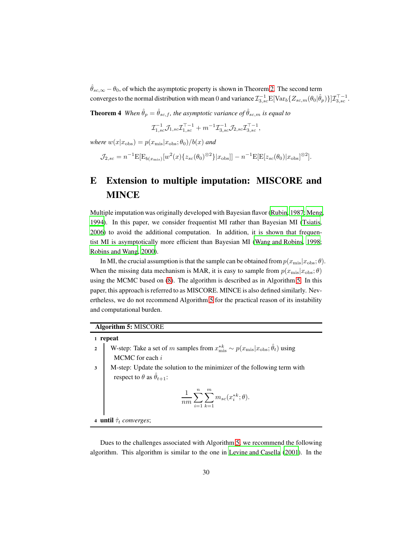<span id="page-29-1"></span> $\hat{\theta}_{sc,\infty} - \theta_0$ , of which the asymptotic property is shown in Theorem [2.](#page-10-0) The second term converges to the normal distribution with mean 0 and variance  $\mathcal{I}_{3,sc}^{-1}\mathbb{E}[\text{Var}_b\{Z_{sc,m}(\theta_0|\hat{\theta}_p)\}]\mathcal{I}_{3,sc}^{\top-1}$ .

**Theorem 4** *When*  $\hat{\theta}_p = \hat{\theta}_{sc,f}$ , *the asymptotic variance of*  $\hat{\theta}_{sc,m}$  *is equal to* 

$$
\mathcal{I}_{1,sc}^{-1}\mathcal{J}_{1,sc}\mathcal{I}_{1,sc}^{\top-1} + m^{-1}\mathcal{I}_{3,sc}^{-1}\mathcal{J}_{2,sc}\mathcal{I}_{3,sc}^{\top-1},
$$

*where*  $w(x|x_{\text{obs}}) = p(x_{\text{mis}}|x_{\text{obs}};\theta_0)/b(x)$  *and* 

$$
\mathcal{J}_{2,sc} = n^{-1} \mathbb{E}[\mathbb{E}_{b(x_{\text{mis}})}[w^2(x) \{z_{sc}(\theta_0)^{\otimes 2}\} | x_{\text{obs}}]] - n^{-1} \mathbb{E}[\mathbb{E}[z_{sc}(\theta_0) | x_{\text{obs}}]^{\otimes 2}].
$$

# E Extension to multiple imputation: MISCORE and **MINCE**

Multiple imputation was originally developed with Bayesian flavor [\(Rubin, 1987](#page-22-2); [Meng](#page-21-11), [1994\)](#page-21-11). In this paper, we consider frequentist MI rather than Bayesian MI [\(Tsiatis,](#page-22-10) [2006\)](#page-22-10) to avoid the additional computation. In addition, it is shown that frequentist MI is asymptotically more efficient than Bayesian MI [\(Wang and Robins, 1998;](#page-23-5) [Robins and Wang](#page-22-11), [2000\)](#page-22-11).

In MI, the crucial assumption is that the sample can be obtained from  $p(x_{\text{mis}}|x_{\text{obs}};\theta)$ . When the missing data mechanism is MAR, it is easy to sample from  $p(x_{\text{mis}}|x_{\text{obs}};\theta)$ using the MCMC based on [\(8\)](#page-6-2). The algorithm is described as in Algorithm [5.](#page-29-0) In this paper, this approach is referred to as MISCORE. MINCE is also defined similarly. Nevertheless, we do not recommend Algorithm [5](#page-29-0) for the practical reason of its instability and computational burden.

<span id="page-29-0"></span>

|                                          | <b>Algorithm 5: MISCORE</b>                                                                                              |  |
|------------------------------------------|--------------------------------------------------------------------------------------------------------------------------|--|
|                                          | 1 repeat                                                                                                                 |  |
| $\overline{2}$                           | W-step: Take a set of m samples from $x^{*k}_{\text{mis}} \sim p(x_{\text{mis}} x_{\text{obs}};\hat{\theta}_t)$ using    |  |
|                                          | MCMC for each $i$                                                                                                        |  |
| $\overline{\mathbf{3}}$                  | M-step: Update the solution to the minimizer of the following term with<br>respect to $\theta$ as $\hat{\theta}_{t+1}$ : |  |
|                                          | $\frac{1}{nm}\sum_{i=1}^{n}\sum_{k=1}^{m}m_{sc}(x_i^{*k};\theta).$                                                       |  |
| 4 <b>until</b> $\hat{\tau}_t$ converges; |                                                                                                                          |  |
|                                          |                                                                                                                          |  |

Dues to the challenges associated with Algorithm [5,](#page-29-0) we recommend the following algorithm. This algorithm is similar to the one in [Levine and](#page-21-12) Casella [\(2001\)](#page-21-12). In the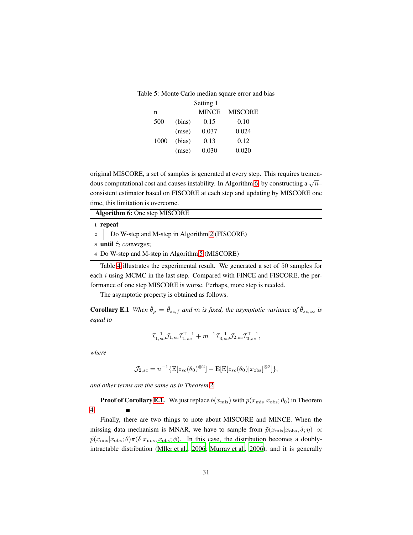|      |        | Setting 1    |                |
|------|--------|--------------|----------------|
| n    |        | <b>MINCE</b> | <b>MISCORE</b> |
| 500  | (bias) | 0.15         | 0.10           |
|      | (mse)  | 0.037        | 0.024          |
| 1000 | (bias) | 0.13         | 0.12           |
|      | (mse)  | 0.030        | 0.020          |

original MISCORE, a set of samples is generated at every step. This requires tremen-dous computational cost and causes instability. In Algorithm [6,](#page-30-0) by constructing a  $\sqrt{n-1}$ consistent estimator based on FISCORE at each step and updating by MISCORE one time, this limitation is overcome.

<span id="page-30-0"></span>

| <b>Algorithm 6:</b> One step MISCORE              |
|---------------------------------------------------|
| 1 repeat                                          |
| 2   Do W-step and M-step in Algorithm 2 (FISCORE) |
| 3 <b>until</b> $\hat{\tau}_t$ converges;          |
| 4 Do W-step and M-step in Algorithm 5 (MISCORE)   |
|                                                   |

Table [4](#page-30-1) illustrates the experimental result. We generated a set of 50 samples for each  $i$  using MCMC in the last step. Compared with FINCE and FISCORE, the performance of one step MISCORE is worse. Perhaps, more step is needed.

The asymptotic property is obtained as follows.

**Corollary E.1** *When*  $\hat{\theta}_p = \hat{\theta}_{sc,f}$  *and* m *is fixed, the asymptotic variance of*  $\hat{\theta}_{sc,\infty}$  *is equal to*

<span id="page-30-2"></span><span id="page-30-1"></span>
$$
\mathcal{I}_{1,sc}^{-1}\mathcal{J}_{1,sc}\mathcal{I}_{1,sc}^{\top-1} + m^{-1}\mathcal{I}_{3,sc}^{-1}\mathcal{I}_{2,sc}\mathcal{I}_{3,sc}^{\top-1},
$$

*where*

$$
\mathcal{J}_{2,sc} = n^{-1} \{ \mathbf{E}[z_{sc}(\theta_0)^{\otimes 2}] - \mathbf{E}[\mathbf{E}[z_{sc}(\theta_0)|x_{\text{obs}}]^{\otimes 2}] \},
$$

*and other terms are the same as in Theorem [2.](#page-10-0)*

**Proof of Corollary [E.1.](#page-30-2)** We just replace  $b(x_{\text{mis}})$  with  $p(x_{\text{mis}}|x_{\text{obs}}; \theta_0)$  in Theorem [4.](#page-29-1)

Finally, there are two things to note about MISCORE and MINCE. When the missing data mechanism is MNAR, we have to sample from  $\tilde{p}(x_{\text{mis}}|x_{\text{obs}}, \delta; \eta) \propto$  $\tilde{p}(x_{\text{mis}}|x_{\text{obs}};\theta)\pi(\delta|x_{\text{mis}},x_{\text{obs}};\phi)$ . In this case, the distribution becomes a doublyintractable distribution [\(Mller et al., 2006;](#page-21-9) [Murray et al.](#page-21-13), [2006](#page-21-13)), and it is generally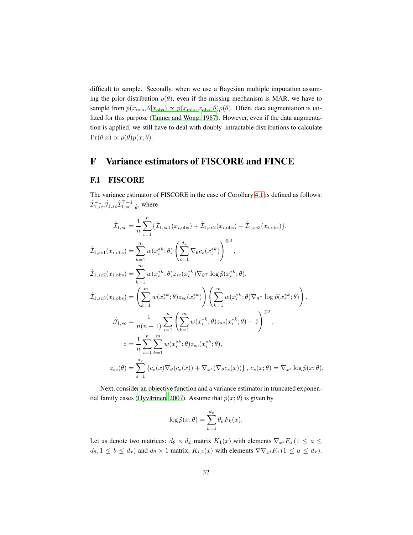difficult to sample. Secondly, when we use a Bayesian multiple imputation assuming the prior distribution  $\rho(\theta)$ , even if the missing mechanism is MAR, we have to sample from  $\tilde{p}(x_{\text{mis}}, \theta | x_{\text{obs}}) \propto \tilde{p}(x_{\text{mis}}, x_{\text{obs}}; \theta) \rho(\theta)$ . Often, data augmentation is utilized for this purpose [\(Tanner and Wong](#page-22-12), [1987\)](#page-22-12). However, even if the data augmentation is applied, we still have to deal with doubly–intractable distributions to calculate  $\Pr(\theta|x) \propto \rho(\theta)p(x;\theta).$ 

# F Variance estimators of FISCORE and FINCE

#### F.1 FISCORE

The variance estimator of FISCORE in the case of Corollary [4.1](#page-10-2) is defined as follows:  $\hat{\mathcal{I}}^{-1}_{1,sc}\hat{\mathcal{J}}_{1,sc}\hat{\mathcal{I}}^{\top-1}_{1,sc}|_{\hat{\theta}},$  where

$$
\hat{\mathcal{I}}_{1,sc} = \frac{1}{n} \sum_{i=1}^{n} \{\hat{\mathcal{I}}_{1,sc1}(x_{i,obs}) + \hat{\mathcal{I}}_{1,sc2}(x_{i,obs}) - \hat{\mathcal{I}}_{1,sc3}(x_{i,obs})\},
$$
\n
$$
\hat{\mathcal{I}}_{1,sc1}(x_{i,obs}) = \sum_{k=1}^{m} w(x_i^{*k}; \theta) \left(\sum_{s=1}^{d_x} \nabla_{\theta} c_s(x_i^{*k})\right)^{\otimes 2},
$$
\n
$$
\hat{\mathcal{I}}_{1,sc2}(x_{i,obs}) = \sum_{k=1}^{m} w(x_i^{*k}; \theta) z_{sc}(x_i^{*k}) \nabla_{\theta} \text{log} \tilde{p}(x_i^{*k}; \theta),
$$
\n
$$
\hat{\mathcal{I}}_{1,sc3}(x_{i,obs}) = \left(\sum_{k=1}^{m} w(x_i^{*k}; \theta) z_{sc}(x_i^{*k})\right) \left(\sum_{k=1}^{m} w(x_i^{*k}; \theta) \nabla_{\theta} \text{log} \tilde{p}(x_i^{*k}; \theta)\right),
$$
\n
$$
\hat{\mathcal{I}}_{1,sc} = \frac{1}{n(n-1)} \sum_{i=1}^{n} \left(\sum_{k=1}^{m} w(x_i^{*k}; \theta) z_{sc}(x_i^{*k}; \theta) - \bar{z}\right)^{\otimes 2},
$$
\n
$$
\bar{z} = \frac{1}{n} \sum_{i=1}^{n} \sum_{k=1}^{m} w(x_i^{*k}; \theta) z_{sc}(x_i^{*k}; \theta),
$$
\n
$$
z_{sc}(\theta) = \sum_{s=1}^{d_x} \{c_s(x) \nabla_{\theta} (c_s(x)) + \nabla_{x^s} (\nabla_{\theta} c_s(x))\}, c_s(x; \theta) = \nabla_{x^s} \log \tilde{p}(x; \theta).
$$

Next, consider an objective function and a variance estimator in truncated exponential family cases (Hyvärinen, 2007). Assume that  $\tilde{p}(x; \theta)$  is given by

$$
\log \tilde{p}(x; \theta) = \sum_{k=1}^{d_x} \theta_k F_k(x).
$$

Let us denote two matrices:  $d_{\theta} \times d_x$  matrix  $K_1(x)$  with elements  $\nabla_{x^b} F_a$  ( $1 \le a \le$  $d_{\theta}, 1 \leq b \leq d_x$ ) and  $d_{\theta} \times 1$  matrix,  $K_{i,2}(x)$  with elements  $\nabla \nabla_{x_i} F_a$   $(1 \leq a \leq d_x)$ .